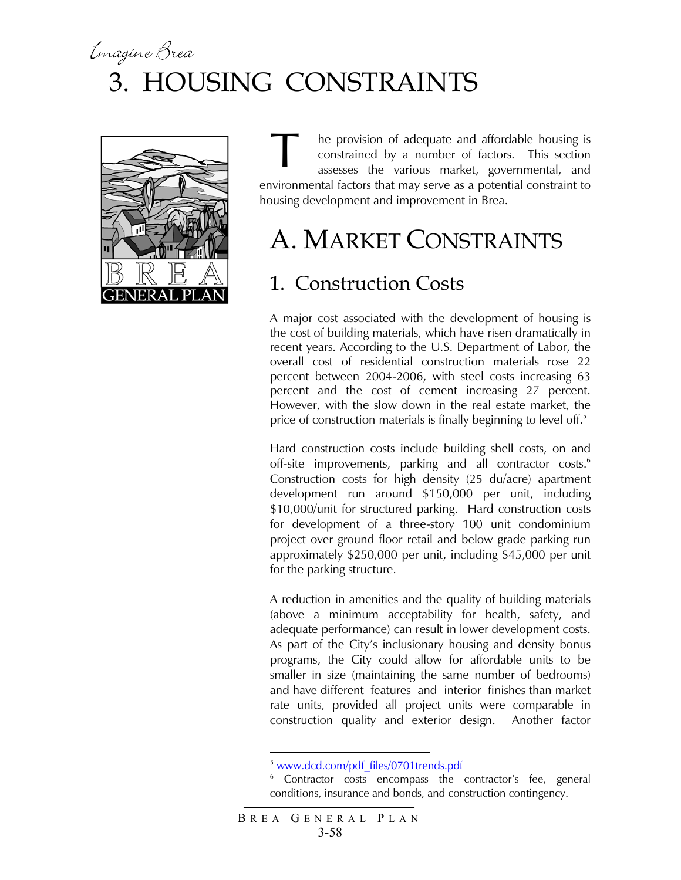Imagine Brea 3. HOUSING CONSTRAINTS



he provision of adequate and affordable housing is constrained by a number of factors. This section assesses the various market, governmental, and environmental factors that may serve as a potential constraint to housing development and improvement in Brea. T

# A. MARKET CONSTRAINTS

### 1. Construction Costs

A major cost associated with the development of housing is the cost of building materials, which have risen dramatically in recent years. According to the U.S. Department of Labor, the overall cost of residential construction materials rose 22 percent between 2004-2006, with steel costs increasing 63 percent and the cost of cement increasing 27 percent. However, with the slow down in the real estate market, the price of construction materials is finally beginning to level off.<sup>5</sup>

Hard construction costs include building shell costs, on and off-site improvements, parking and all contractor costs.<sup>6</sup> Construction costs for high density (25 du/acre) apartment development run around \$150,000 per unit, including \$10,000/unit for structured parking. Hard construction costs for development of a three-story 100 unit condominium project over ground floor retail and below grade parking run approximately \$250,000 per unit, including \$45,000 per unit for the parking structure.

A reduction in amenities and the quality of building materials (above a minimum acceptability for health, safety, and adequate performance) can result in lower development costs. As part of the City's inclusionary housing and density bonus programs, the City could allow for affordable units to be smaller in size (maintaining the same number of bedrooms) and have different features and interior finishes than market rate units, provided all project units were comparable in construction quality and exterior design. Another factor

1

<sup>&</sup>lt;sup>5</sup> www.dcd.com/pdf\_files/0701trends.pdf

<sup>&</sup>lt;sup>6</sup> Contractor costs encompass the contractor's fee, general conditions, insurance and bonds, and construction contingency.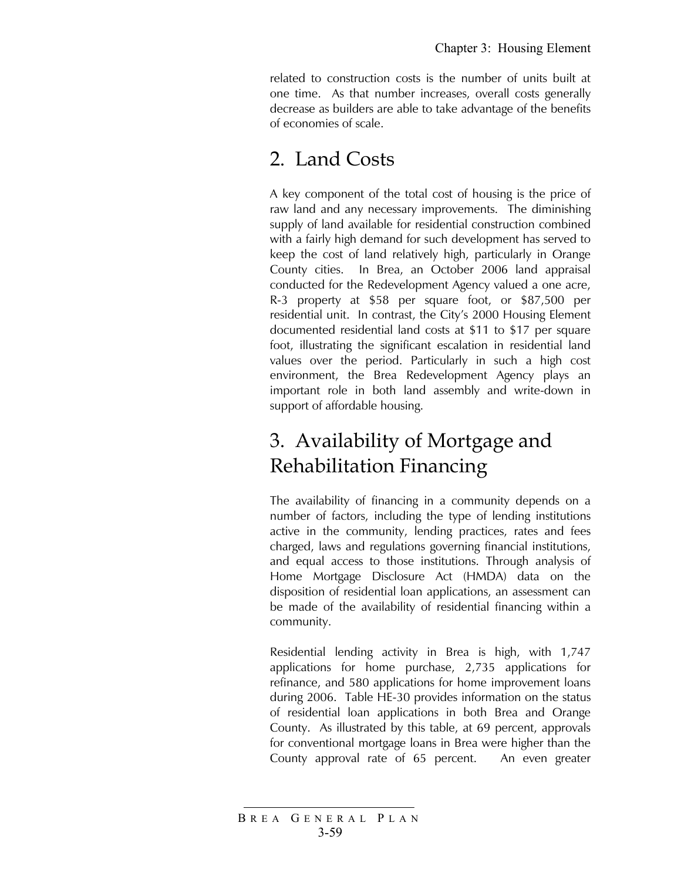related to construction costs is the number of units built at one time. As that number increases, overall costs generally decrease as builders are able to take advantage of the benefits of economies of scale.

## 2. Land Costs

A key component of the total cost of housing is the price of raw land and any necessary improvements. The diminishing supply of land available for residential construction combined with a fairly high demand for such development has served to keep the cost of land relatively high, particularly in Orange County cities. In Brea, an October 2006 land appraisal conducted for the Redevelopment Agency valued a one acre, R-3 property at \$58 per square foot, or \$87,500 per residential unit. In contrast, the City's 2000 Housing Element documented residential land costs at \$11 to \$17 per square foot, illustrating the significant escalation in residential land values over the period. Particularly in such a high cost environment, the Brea Redevelopment Agency plays an important role in both land assembly and write-down in support of affordable housing.

# 3. Availability of Mortgage and Rehabilitation Financing

The availability of financing in a community depends on a number of factors, including the type of lending institutions active in the community, lending practices, rates and fees charged, laws and regulations governing financial institutions, and equal access to those institutions. Through analysis of Home Mortgage Disclosure Act (HMDA) data on the disposition of residential loan applications, an assessment can be made of the availability of residential financing within a community.

Residential lending activity in Brea is high, with 1,747 applications for home purchase, 2,735 applications for refinance, and 580 applications for home improvement loans during 2006. Table HE-30 provides information on the status of residential loan applications in both Brea and Orange County. As illustrated by this table, at 69 percent, approvals for conventional mortgage loans in Brea were higher than the County approval rate of 65 percent. An even greater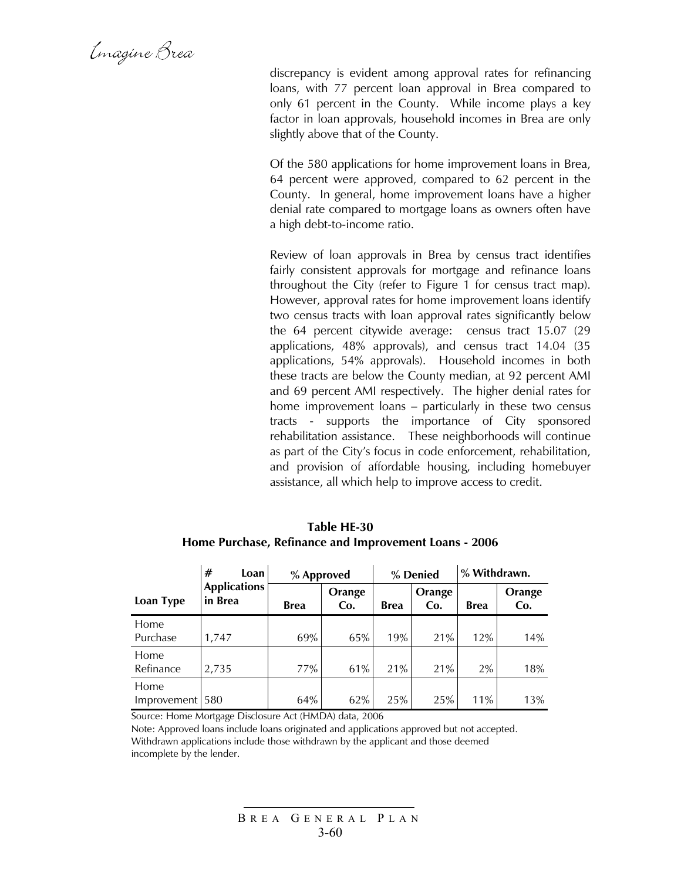Emagine Brea

discrepancy is evident among approval rates for refinancing loans, with 77 percent loan approval in Brea compared to only 61 percent in the County. While income plays a key factor in loan approvals, household incomes in Brea are only slightly above that of the County.

Of the 580 applications for home improvement loans in Brea, 64 percent were approved, compared to 62 percent in the County. In general, home improvement loans have a higher denial rate compared to mortgage loans as owners often have a high debt-to-income ratio.

Review of loan approvals in Brea by census tract identifies fairly consistent approvals for mortgage and refinance loans throughout the City (refer to Figure 1 for census tract map). However, approval rates for home improvement loans identify two census tracts with loan approval rates significantly below the 64 percent citywide average: census tract 15.07 (29 applications, 48% approvals), and census tract 14.04 (35 applications, 54% approvals). Household incomes in both these tracts are below the County median, at 92 percent AMI and 69 percent AMI respectively. The higher denial rates for home improvement loans – particularly in these two census tracts - supports the importance of City sponsored rehabilitation assistance. These neighborhoods will continue as part of the City's focus in code enforcement, rehabilitation, and provision of affordable housing, including homebuyer assistance, all which help to improve access to credit.

|                     | #<br>Loan                      | % Approved  |               |             | % Denied      | % Withdrawn. |               |  |
|---------------------|--------------------------------|-------------|---------------|-------------|---------------|--------------|---------------|--|
| Loan Type           | <b>Applications</b><br>in Brea | <b>Brea</b> | Orange<br>Co. | <b>Brea</b> | Orange<br>Co. | <b>Brea</b>  | Orange<br>Co. |  |
| Home<br>Purchase    | 1,747                          | 69%         | 65%           | 19%         | 21%           | 12%          | 14%           |  |
| Home<br>Refinance   | 2,735                          | 77%         | 61%           | 21%         | 21%           | 2%           | 18%           |  |
| Home<br>Improvement | 580                            | 64%         | 62%           | 25%         | 25%           | 11%          | 13%           |  |

**Table HE-30 Home Purchase, Refinance and Improvement Loans - 2006** 

Source: Home Mortgage Disclosure Act (HMDA) data, 2006

Note: Approved loans include loans originated and applications approved but not accepted. Withdrawn applications include those withdrawn by the applicant and those deemed incomplete by the lender.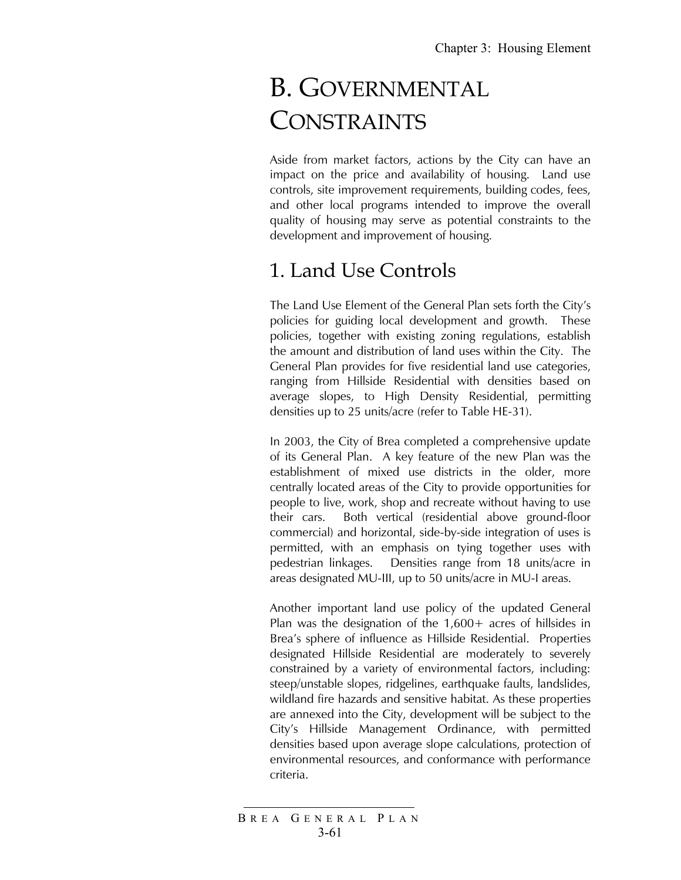# B. GOVERNMENTAL **CONSTRAINTS**

Aside from market factors, actions by the City can have an impact on the price and availability of housing. Land use controls, site improvement requirements, building codes, fees, and other local programs intended to improve the overall quality of housing may serve as potential constraints to the development and improvement of housing.

# 1. Land Use Controls

The Land Use Element of the General Plan sets forth the City's policies for guiding local development and growth. These policies, together with existing zoning regulations, establish the amount and distribution of land uses within the City. The General Plan provides for five residential land use categories, ranging from Hillside Residential with densities based on average slopes, to High Density Residential, permitting densities up to 25 units/acre (refer to Table HE-31).

In 2003, the City of Brea completed a comprehensive update of its General Plan. A key feature of the new Plan was the establishment of mixed use districts in the older, more centrally located areas of the City to provide opportunities for people to live, work, shop and recreate without having to use their cars. Both vertical (residential above ground-floor commercial) and horizontal, side-by-side integration of uses is permitted, with an emphasis on tying together uses with pedestrian linkages. Densities range from 18 units/acre in areas designated MU-III, up to 50 units/acre in MU-I areas.

Another important land use policy of the updated General Plan was the designation of the  $1,600+$  acres of hillsides in Brea's sphere of influence as Hillside Residential. Properties designated Hillside Residential are moderately to severely constrained by a variety of environmental factors, including: steep/unstable slopes, ridgelines, earthquake faults, landslides, wildland fire hazards and sensitive habitat. As these properties are annexed into the City, development will be subject to the City's Hillside Management Ordinance, with permitted densities based upon average slope calculations, protection of environmental resources, and conformance with performance criteria.

B REA G ENERAL P LAN 3-61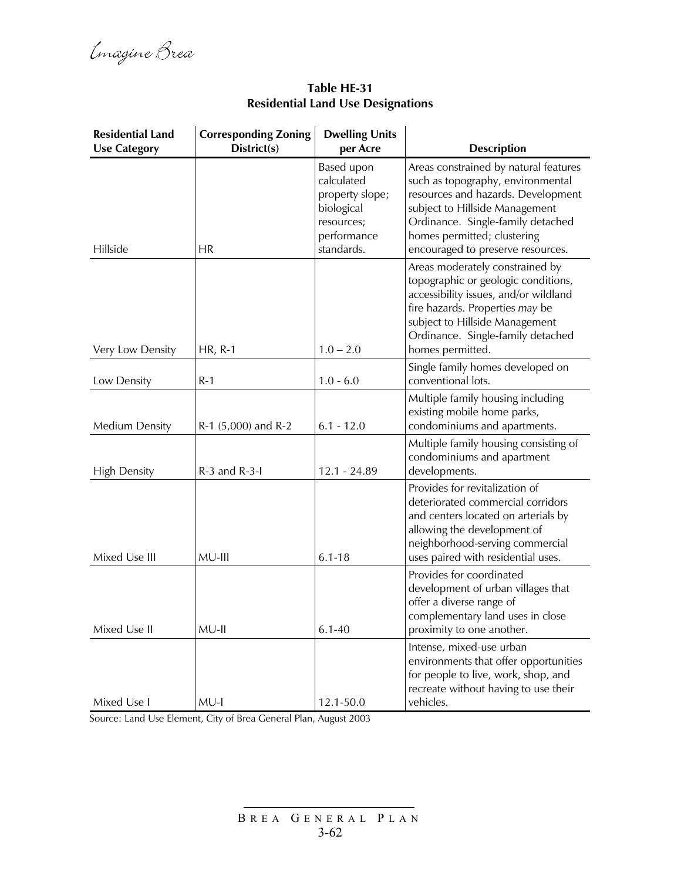| Table HE-31                              |
|------------------------------------------|
| <b>Residential Land Use Designations</b> |

| <b>Residential Land</b><br><b>Use Category</b> | <b>Corresponding Zoning</b><br>District(s) | <b>Dwelling Units</b><br>per Acre                                                                    | <b>Description</b>                                                                                                                                                                                                                                          |
|------------------------------------------------|--------------------------------------------|------------------------------------------------------------------------------------------------------|-------------------------------------------------------------------------------------------------------------------------------------------------------------------------------------------------------------------------------------------------------------|
| Hillside                                       | <b>HR</b>                                  | Based upon<br>calculated<br>property slope;<br>biological<br>resources;<br>performance<br>standards. | Areas constrained by natural features<br>such as topography, environmental<br>resources and hazards. Development<br>subject to Hillside Management<br>Ordinance. Single-family detached<br>homes permitted; clustering<br>encouraged to preserve resources. |
| Very Low Density                               | <b>HR, R-1</b>                             | $1.0 - 2.0$                                                                                          | Areas moderately constrained by<br>topographic or geologic conditions,<br>accessibility issues, and/or wildland<br>fire hazards. Properties may be<br>subject to Hillside Management<br>Ordinance. Single-family detached<br>homes permitted.               |
| Low Density                                    | $R-1$                                      | $1.0 - 6.0$                                                                                          | Single family homes developed on<br>conventional lots.                                                                                                                                                                                                      |
| <b>Medium Density</b>                          | R-1 (5,000) and R-2                        | $6.1 - 12.0$                                                                                         | Multiple family housing including<br>existing mobile home parks,<br>condominiums and apartments.                                                                                                                                                            |
| <b>High Density</b>                            | $R-3$ and $R-3-1$                          | 12.1 - 24.89                                                                                         | Multiple family housing consisting of<br>condominiums and apartment<br>developments.                                                                                                                                                                        |
| Mixed Use III                                  | MU-III                                     | $6.1 - 18$                                                                                           | Provides for revitalization of<br>deteriorated commercial corridors<br>and centers located on arterials by<br>allowing the development of<br>neighborhood-serving commercial<br>uses paired with residential uses.                                          |
| Mixed Use II                                   | $MU-II$                                    | $6.1 - 40$                                                                                           | Provides for coordinated<br>development of urban villages that<br>offer a diverse range of<br>complementary land uses in close<br>proximity to one another.                                                                                                 |
| Mixed Use I                                    | MU-I                                       | 12.1-50.0                                                                                            | Intense, mixed-use urban<br>environments that offer opportunities<br>for people to live, work, shop, and<br>recreate without having to use their<br>vehicles.                                                                                               |

Source: Land Use Element, City of Brea General Plan, August 2003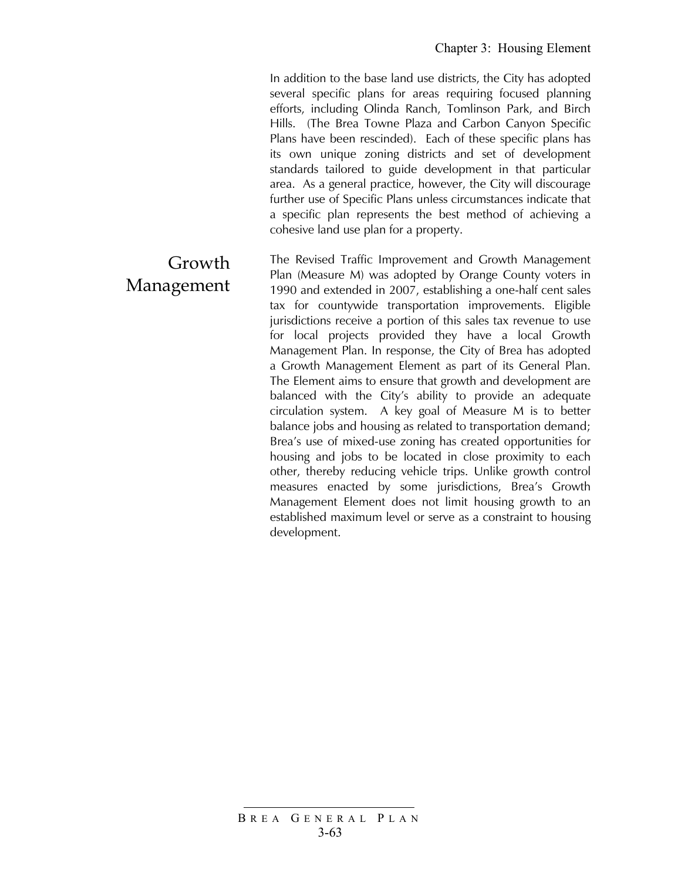In addition to the base land use districts, the City has adopted several specific plans for areas requiring focused planning efforts, including Olinda Ranch, Tomlinson Park, and Birch Hills. (The Brea Towne Plaza and Carbon Canyon Specific Plans have been rescinded). Each of these specific plans has its own unique zoning districts and set of development standards tailored to guide development in that particular area. As a general practice, however, the City will discourage further use of Specific Plans unless circumstances indicate that a specific plan represents the best method of achieving a cohesive land use plan for a property.

The Revised Traffic Improvement and Growth Management Plan (Measure M) was adopted by Orange County voters in 1990 and extended in 2007, establishing a one-half cent sales tax for countywide transportation improvements. Eligible jurisdictions receive a portion of this sales tax revenue to use for local projects provided they have a local Growth Management Plan. In response, the City of Brea has adopted a Growth Management Element as part of its General Plan. The Element aims to ensure that growth and development are balanced with the City's ability to provide an adequate circulation system. A key goal of Measure M is to better balance jobs and housing as related to transportation demand; Brea's use of mixed-use zoning has created opportunities for housing and jobs to be located in close proximity to each other, thereby reducing vehicle trips. Unlike growth control measures enacted by some jurisdictions, Brea's Growth Management Element does not limit housing growth to an established maximum level or serve as a constraint to housing development.

#### Growth Management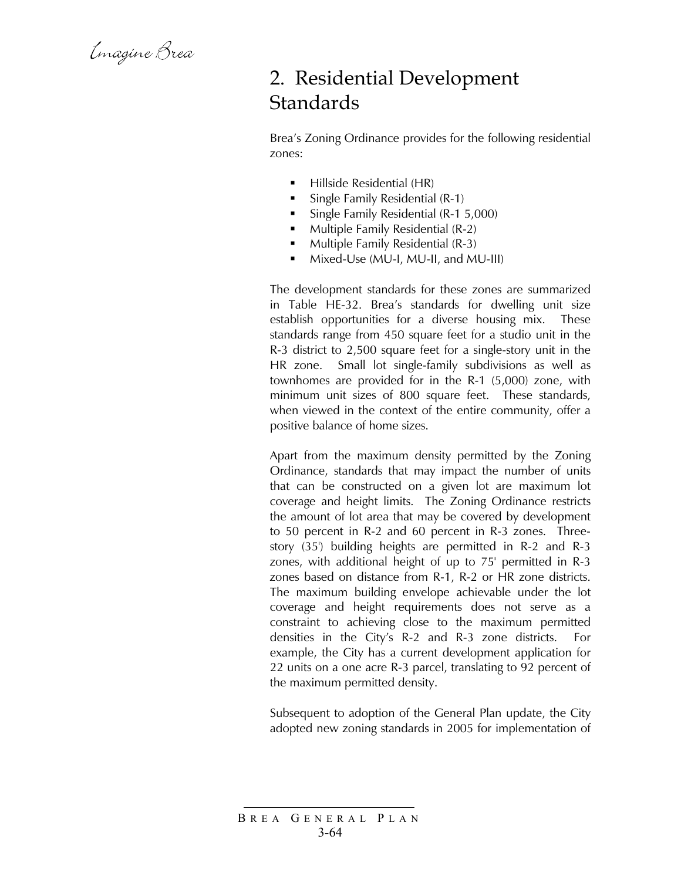Emagine Brea

# 2. Residential Development **Standards**

Brea's Zoning Ordinance provides for the following residential zones:

- **Hillside Residential (HR)**
- Single Family Residential (R-1)
- Single Family Residential (R-1 5,000)
- Multiple Family Residential (R-2)
- Multiple Family Residential (R-3)
- Mixed-Use (MU-I, MU-II, and MU-III)

The development standards for these zones are summarized in Table HE-32. Brea's standards for dwelling unit size establish opportunities for a diverse housing mix. These standards range from 450 square feet for a studio unit in the R-3 district to 2,500 square feet for a single-story unit in the HR zone. Small lot single-family subdivisions as well as townhomes are provided for in the R-1 (5,000) zone, with minimum unit sizes of 800 square feet. These standards, when viewed in the context of the entire community, offer a positive balance of home sizes.

Apart from the maximum density permitted by the Zoning Ordinance, standards that may impact the number of units that can be constructed on a given lot are maximum lot coverage and height limits. The Zoning Ordinance restricts the amount of lot area that may be covered by development to 50 percent in R-2 and 60 percent in R-3 zones. Threestory (35') building heights are permitted in R-2 and R-3 zones, with additional height of up to 75' permitted in R-3 zones based on distance from R-1, R-2 or HR zone districts. The maximum building envelope achievable under the lot coverage and height requirements does not serve as a constraint to achieving close to the maximum permitted densities in the City's R-2 and R-3 zone districts. For example, the City has a current development application for 22 units on a one acre R-3 parcel, translating to 92 percent of the maximum permitted density.

Subsequent to adoption of the General Plan update, the City adopted new zoning standards in 2005 for implementation of

B REA G ENERAL P LAN 3-64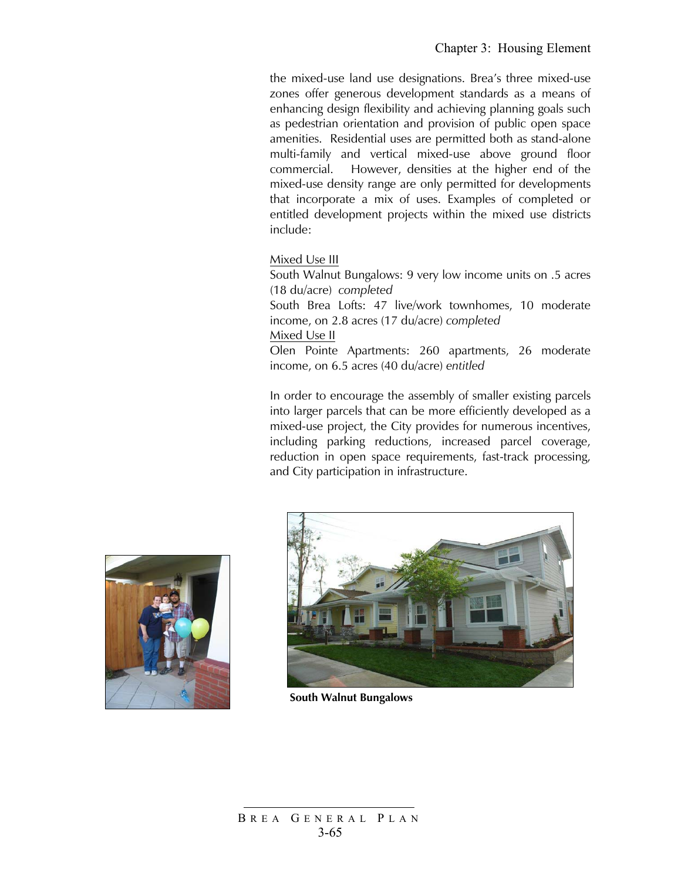the mixed-use land use designations. Brea's three mixed-use zones offer generous development standards as a means of enhancing design flexibility and achieving planning goals such as pedestrian orientation and provision of public open space amenities. Residential uses are permitted both as stand-alone multi-family and vertical mixed-use above ground floor commercial. However, densities at the higher end of the mixed-use density range are only permitted for developments that incorporate a mix of uses. Examples of completed or entitled development projects within the mixed use districts include:

#### Mixed Use III

South Walnut Bungalows: 9 very low income units on .5 acres (18 du/acre) *completed*

South Brea Lofts: 47 live/work townhomes, 10 moderate income, on 2.8 acres (17 du/acre) *completed*

#### Mixed Use II

Olen Pointe Apartments: 260 apartments, 26 moderate income, on 6.5 acres (40 du/acre) *entitled*

In order to encourage the assembly of smaller existing parcels into larger parcels that can be more efficiently developed as a mixed-use project, the City provides for numerous incentives, including parking reductions, increased parcel coverage, reduction in open space requirements, fast-track processing, and City participation in infrastructure.





**South Walnut Bungalows**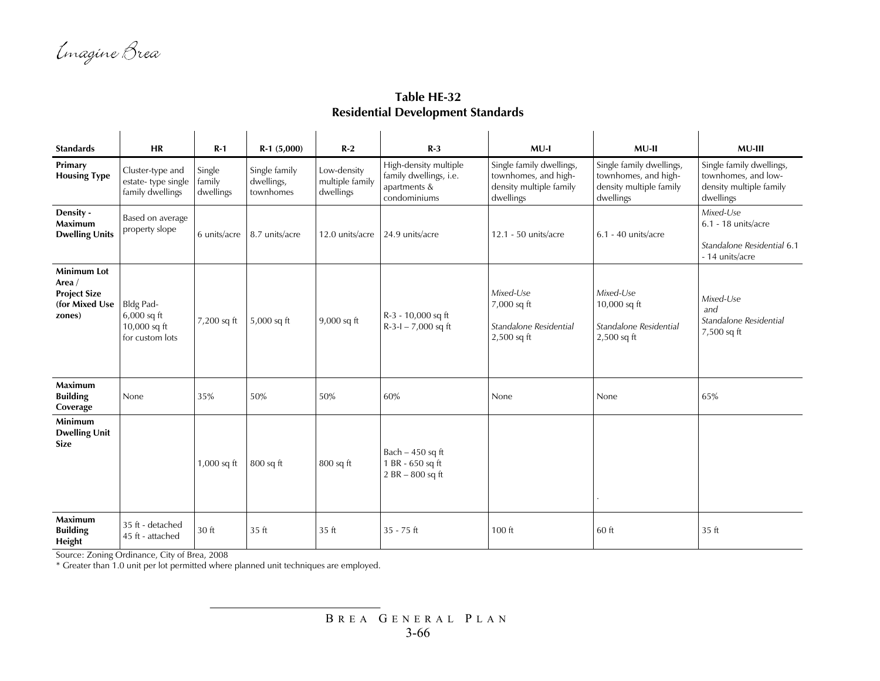Imagine Brea

|  |  | Table HE-32                              |
|--|--|------------------------------------------|
|  |  | <b>Residential Development Standards</b> |
|  |  |                                          |

| <b>Standards</b>                                                                  | <b>HR</b>                                                            | $R-1$                         | $R-1$ (5,000)                            | $R-2$                                       | $R-3$                                                                           | $MU-I$                                                                                   | MU-II                                                                                    | <b>MU-III</b>                                                                           |
|-----------------------------------------------------------------------------------|----------------------------------------------------------------------|-------------------------------|------------------------------------------|---------------------------------------------|---------------------------------------------------------------------------------|------------------------------------------------------------------------------------------|------------------------------------------------------------------------------------------|-----------------------------------------------------------------------------------------|
| Primary<br><b>Housing Type</b>                                                    | Cluster-type and<br>estate-type single<br>family dwellings           | Single<br>family<br>dwellings | Single family<br>dwellings,<br>townhomes | Low-density<br>multiple family<br>dwellings | High-density multiple<br>family dwellings, i.e.<br>apartments &<br>condominiums | Single family dwellings,<br>townhomes, and high-<br>density multiple family<br>dwellings | Single family dwellings,<br>townhomes, and high-<br>density multiple family<br>dwellings | Single family dwellings,<br>townhomes, and low-<br>density multiple family<br>dwellings |
| Density -<br>Maximum<br><b>Dwelling Units</b>                                     | Based on average<br>property slope                                   | 6 units/acre                  | 8.7 units/acre                           | 12.0 units/acre                             | 24.9 units/acre                                                                 | $12.1 - 50$ units/acre                                                                   | $6.1 - 40$ units/acre                                                                    | Mixed-Use<br>$6.1 - 18$ units/acre<br>Standalone Residential 6.1<br>- 14 units/acre     |
| <b>Minimum Lot</b><br>Area $/$<br><b>Project Size</b><br>(for Mixed Use<br>zones) | <b>Bldg Pad-</b><br>$6,000$ sq ft<br>10,000 sq ft<br>for custom lots | 7,200 sq ft                   | $5,000$ sq ft                            | 9,000 sq ft                                 | R-3 - 10,000 sq ft<br>$R-3-1 - 7,000$ sq ft                                     | Mixed-Use<br>7,000 sq ft<br>Standalone Residential<br>$2,500$ sq ft                      | Mixed-Use<br>10,000 sq ft<br>Standalone Residential<br>$2,500$ sq ft                     | Mixed-Use<br>and<br>Standalone Residential<br>7,500 sq ft                               |
| <b>Maximum</b><br><b>Building</b><br>Coverage                                     | None                                                                 | 35%                           | 50%                                      | 50%                                         | 60%                                                                             | None                                                                                     | None                                                                                     | 65%                                                                                     |
| <b>Minimum</b><br><b>Dwelling Unit</b><br><b>Size</b>                             |                                                                      | $1,000$ sq ft                 | $800$ sq ft                              | $800$ sq ft                                 | Bach $-450$ sq ft<br>1 BR - 650 sq ft<br>$2 BR - 800 sqft$                      |                                                                                          |                                                                                          |                                                                                         |
| <b>Maximum</b><br><b>Building</b><br>Height                                       | 35 ft - detached<br>45 ft - attached                                 | 30 ft                         | 35 ft                                    | 35 ft                                       | $35 - 75$ ft                                                                    | 100 ft                                                                                   | 60 ft                                                                                    | 35 ft                                                                                   |

Source: Zoning Ordinance, City of Brea, 2008

\* Greater than 1.0 unit per lot permitted where planned unit techniques are employed.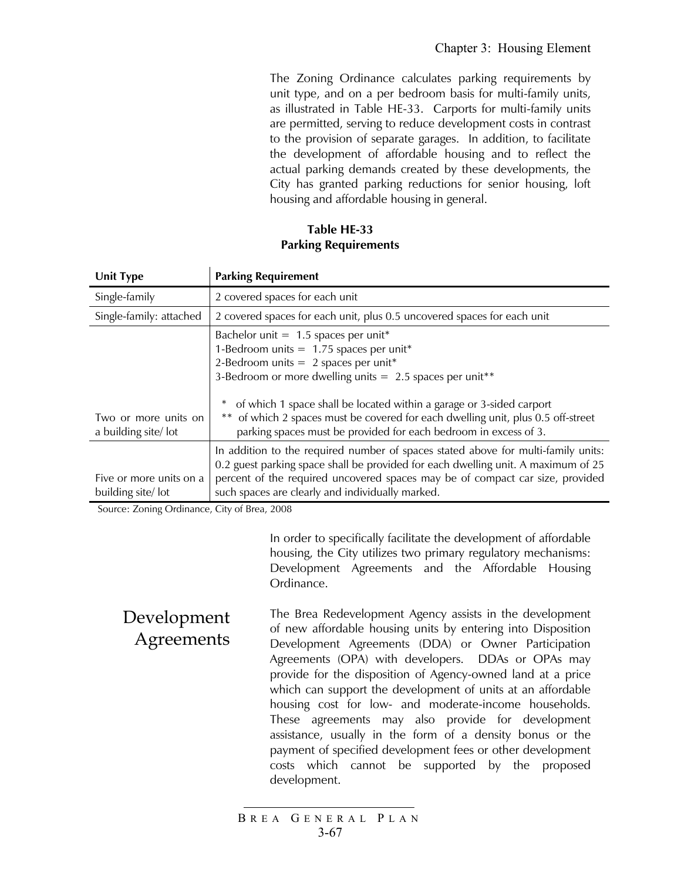The Zoning Ordinance calculates parking requirements by unit type, and on a per bedroom basis for multi-family units, as illustrated in Table HE-33. Carports for multi-family units are permitted, serving to reduce development costs in contrast to the provision of separate garages. In addition, to facilitate the development of affordable housing and to reflect the actual parking demands created by these developments, the City has granted parking reductions for senior housing, loft housing and affordable housing in general.

#### **Table HE-33 Parking Requirements**

| <b>Unit Type</b>                             | <b>Parking Requirement</b>                                                                                                                                                                                                                                                                                                                                                                                                  |
|----------------------------------------------|-----------------------------------------------------------------------------------------------------------------------------------------------------------------------------------------------------------------------------------------------------------------------------------------------------------------------------------------------------------------------------------------------------------------------------|
| Single-family                                | 2 covered spaces for each unit                                                                                                                                                                                                                                                                                                                                                                                              |
| Single-family: attached                      | 2 covered spaces for each unit, plus 0.5 uncovered spaces for each unit                                                                                                                                                                                                                                                                                                                                                     |
| Two or more units on<br>a building site/lot  | Bachelor unit = $1.5$ spaces per unit*<br>1-Bedroom units = $1.75$ spaces per unit*<br>2-Bedroom units = $2$ spaces per unit*<br>3-Bedroom or more dwelling units = 2.5 spaces per unit**<br>* of which 1 space shall be located within a garage or 3-sided carport<br>** of which 2 spaces must be covered for each dwelling unit, plus 0.5 off-street<br>parking spaces must be provided for each bedroom in excess of 3. |
| Five or more units on a<br>building site/lot | In addition to the required number of spaces stated above for multi-family units:<br>0.2 guest parking space shall be provided for each dwelling unit. A maximum of 25<br>percent of the required uncovered spaces may be of compact car size, provided<br>such spaces are clearly and individually marked.                                                                                                                 |

Source: Zoning Ordinance, City of Brea, 2008

In order to specifically facilitate the development of affordable housing, the City utilizes two primary regulatory mechanisms: Development Agreements and the Affordable Housing Ordinance.

Development Agreements The Brea Redevelopment Agency assists in the development of new affordable housing units by entering into Disposition Development Agreements (DDA) or Owner Participation Agreements (OPA) with developers. DDAs or OPAs may provide for the disposition of Agency-owned land at a price which can support the development of units at an affordable housing cost for low- and moderate-income households. These agreements may also provide for development assistance, usually in the form of a density bonus or the payment of specified development fees or other development costs which cannot be supported by the proposed development.

> B REA G ENERAL P LAN 3-67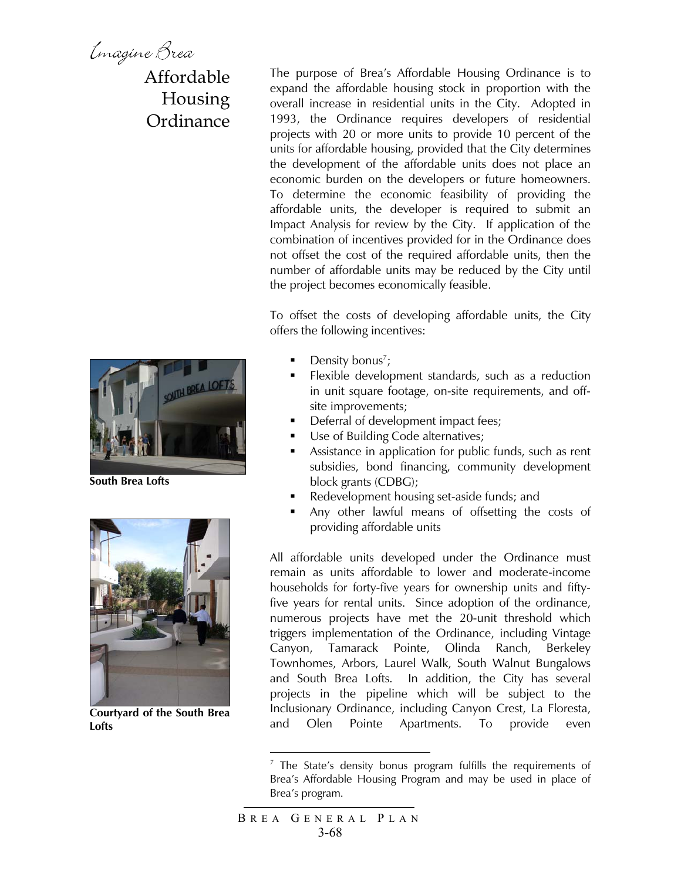Emagine Brea

### Affordable Housing **Ordinance**

The purpose of Brea's Affordable Housing Ordinance is to expand the affordable housing stock in proportion with the overall increase in residential units in the City. Adopted in 1993, the Ordinance requires developers of residential projects with 20 or more units to provide 10 percent of the units for affordable housing, provided that the City determines the development of the affordable units does not place an economic burden on the developers or future homeowners. To determine the economic feasibility of providing the affordable units, the developer is required to submit an Impact Analysis for review by the City. If application of the combination of incentives provided for in the Ordinance does not offset the cost of the required affordable units, then the number of affordable units may be reduced by the City until the project becomes economically feasible.

To offset the costs of developing affordable units, the City offers the following incentives:

- Density bonus<sup>7</sup>;
- Flexible development standards, such as a reduction in unit square footage, on-site requirements, and offsite improvements;
- Deferral of development impact fees;
- Use of Building Code alternatives;
- Assistance in application for public funds, such as rent subsidies, bond financing, community development block grants (CDBG);
- Redevelopment housing set-aside funds; and
- Any other lawful means of offsetting the costs of providing affordable units

All affordable units developed under the Ordinance must remain as units affordable to lower and moderate-income households for forty-five years for ownership units and fiftyfive years for rental units. Since adoption of the ordinance, numerous projects have met the 20-unit threshold which triggers implementation of the Ordinance, including Vintage Canyon, Tamarack Pointe, Olinda Ranch, Berkeley Townhomes, Arbors, Laurel Walk, South Walnut Bungalows and South Brea Lofts. In addition, the City has several projects in the pipeline which will be subject to the Inclusionary Ordinance, including Canyon Crest, La Floresta, and Olen Pointe Apartments. To provide even

<sup>&</sup>lt;sup>7</sup> The State's density bonus program fulfills the requirements of Brea's Affordable Housing Program and may be used in place of Brea's program.



1



**South Brea Lofts** 



**Courtyard of the South Brea Lofts**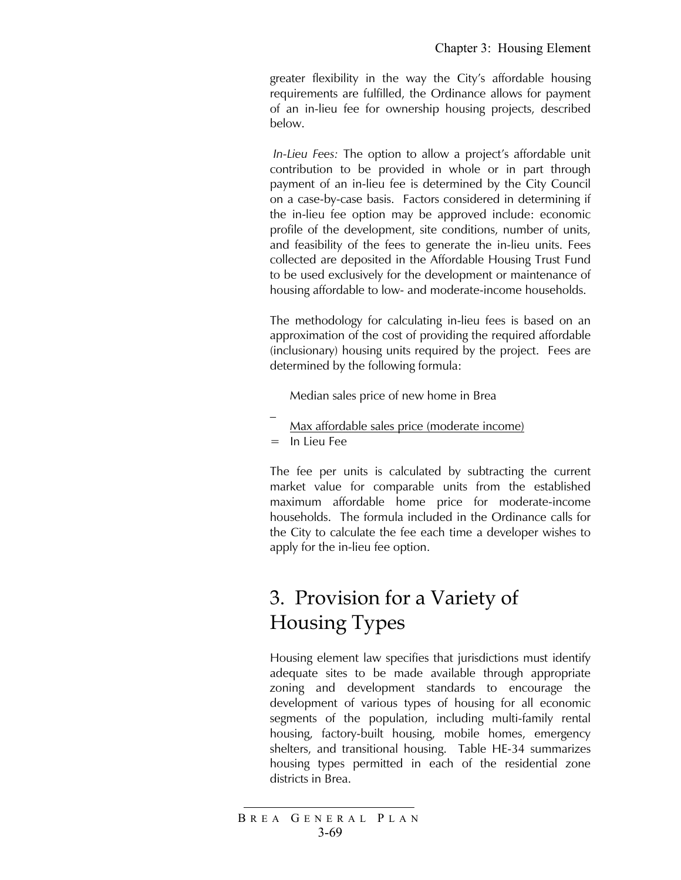greater flexibility in the way the City's affordable housing requirements are fulfilled, the Ordinance allows for payment of an in-lieu fee for ownership housing projects, described below.

*In-Lieu Fees:* The option to allow a project's affordable unit contribution to be provided in whole or in part through payment of an in-lieu fee is determined by the City Council on a case-by-case basis. Factors considered in determining if the in-lieu fee option may be approved include: economic profile of the development, site conditions, number of units, and feasibility of the fees to generate the in-lieu units. Fees collected are deposited in the Affordable Housing Trust Fund to be used exclusively for the development or maintenance of housing affordable to low- and moderate-income households.

The methodology for calculating in-lieu fees is based on an approximation of the cost of providing the required affordable (inclusionary) housing units required by the project. Fees are determined by the following formula:

Median sales price of new home in Brea

- $\overline{a}$ Max affordable sales price (moderate income)
- = In Lieu Fee

The fee per units is calculated by subtracting the current market value for comparable units from the established maximum affordable home price for moderate-income households. The formula included in the Ordinance calls for the City to calculate the fee each time a developer wishes to apply for the in-lieu fee option.

# 3. Provision for a Variety of Housing Types

Housing element law specifies that jurisdictions must identify adequate sites to be made available through appropriate zoning and development standards to encourage the development of various types of housing for all economic segments of the population, including multi-family rental housing, factory-built housing, mobile homes, emergency shelters, and transitional housing. Table HE-34 summarizes housing types permitted in each of the residential zone districts in Brea.

B REA G ENERAL P LAN 3-69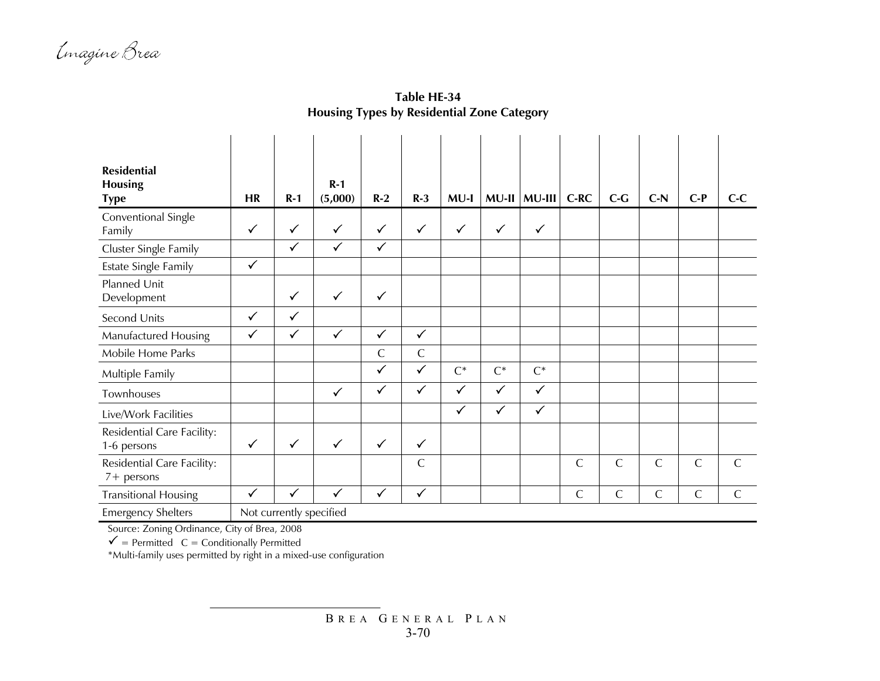Imagine Brea

| <b>Residential</b><br><b>Housing</b><br><b>Type</b> | <b>HR</b>    | $R-1$                   | $R-1$<br>(5,000) | $R-2$        | $R-3$        | <b>MU-I</b>  |              | $MU-II$ $MU-II$ | $C-RC$       | $C-G$        | $C-N$        | $C-P$        | $C-C$        |
|-----------------------------------------------------|--------------|-------------------------|------------------|--------------|--------------|--------------|--------------|-----------------|--------------|--------------|--------------|--------------|--------------|
| Conventional Single                                 |              |                         |                  |              |              |              |              |                 |              |              |              |              |              |
| Family                                              | $\checkmark$ | $\checkmark$            | $\checkmark$     | $\checkmark$ | $\checkmark$ | $\checkmark$ | $\checkmark$ | $\checkmark$    |              |              |              |              |              |
| Cluster Single Family                               |              | $\checkmark$            | $\mathcal{L}$    | $\checkmark$ |              |              |              |                 |              |              |              |              |              |
| <b>Estate Single Family</b>                         | $\checkmark$ |                         |                  |              |              |              |              |                 |              |              |              |              |              |
| <b>Planned Unit</b><br>Development                  |              | $\checkmark$            | $\checkmark$     | $\checkmark$ |              |              |              |                 |              |              |              |              |              |
| Second Units                                        | $\checkmark$ | $\checkmark$            |                  |              |              |              |              |                 |              |              |              |              |              |
| Manufactured Housing                                | $\checkmark$ | $\checkmark$            | $\checkmark$     | $\checkmark$ | $\checkmark$ |              |              |                 |              |              |              |              |              |
| Mobile Home Parks                                   |              |                         |                  | $\mathsf{C}$ | $\mathsf{C}$ |              |              |                 |              |              |              |              |              |
| Multiple Family                                     |              |                         |                  | $\checkmark$ | $\checkmark$ | $C^*$        | $C^*$        | $C^*$           |              |              |              |              |              |
| Townhouses                                          |              |                         | $\checkmark$     | $\checkmark$ | $\checkmark$ | $\checkmark$ | $\checkmark$ | $\checkmark$    |              |              |              |              |              |
| Live/Work Facilities                                |              |                         |                  |              |              | $\checkmark$ | $\checkmark$ | $\checkmark$    |              |              |              |              |              |
| Residential Care Facility:<br>1-6 persons           | $\checkmark$ | $\checkmark$            | $\checkmark$     | $\checkmark$ | $\checkmark$ |              |              |                 |              |              |              |              |              |
| Residential Care Facility:<br>$7+$ persons          |              |                         |                  |              | $\mathsf{C}$ |              |              |                 | $\mathsf{C}$ | $\mathsf{C}$ | $\mathsf{C}$ | $\mathsf{C}$ | $\mathsf{C}$ |
| <b>Transitional Housing</b>                         | $\checkmark$ | $\checkmark$            | $\checkmark$     | $\checkmark$ | $\checkmark$ |              |              |                 | $\mathsf{C}$ | $\mathsf{C}$ | $\mathsf{C}$ | $\mathsf{C}$ | $\mathsf{C}$ |
| <b>Emergency Shelters</b>                           |              | Not currently specified |                  |              |              |              |              |                 |              |              |              |              |              |

**Table HE-34 Housing Types by Residential Zone Category** 

Source: Zoning Ordinance, City of Brea, 2008

 $\checkmark$  = Permitted  $C$  = Conditionally Permitted

\*Multi-family uses permitted by right in a mixed-use configuration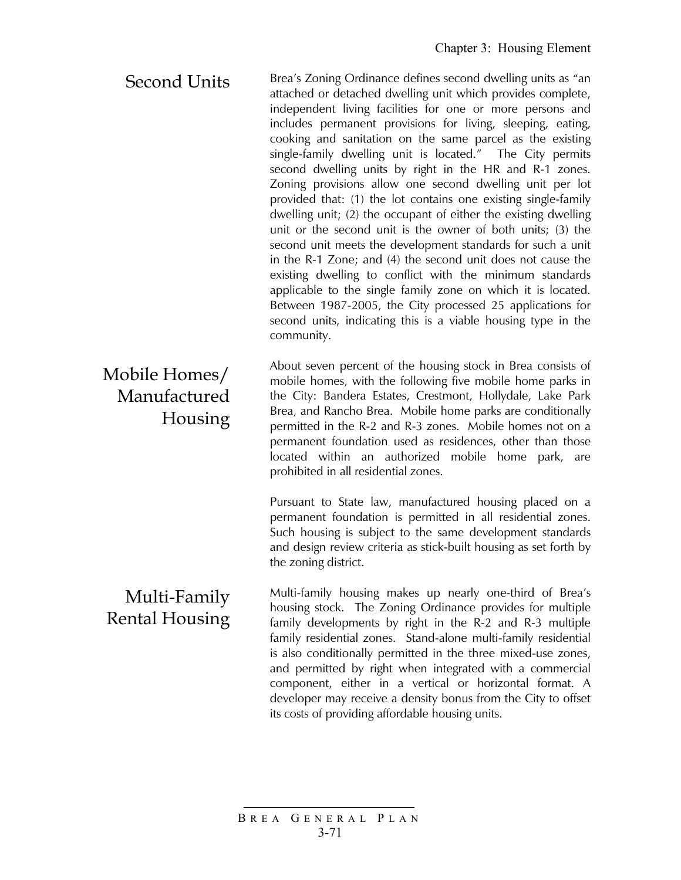Second Units Brea's Zoning Ordinance defines second dwelling units as "an attached or detached dwelling unit which provides complete, independent living facilities for one or more persons and includes permanent provisions for living, sleeping, eating, cooking and sanitation on the same parcel as the existing single-family dwelling unit is located." The City permits second dwelling units by right in the HR and R-1 zones. Zoning provisions allow one second dwelling unit per lot provided that: (1) the lot contains one existing single-family dwelling unit; (2) the occupant of either the existing dwelling unit or the second unit is the owner of both units; (3) the second unit meets the development standards for such a unit in the R-1 Zone; and (4) the second unit does not cause the existing dwelling to conflict with the minimum standards applicable to the single family zone on which it is located. Between 1987-2005, the City processed 25 applications for second units, indicating this is a viable housing type in the community.

> About seven percent of the housing stock in Brea consists of mobile homes, with the following five mobile home parks in the City: Bandera Estates, Crestmont, Hollydale, Lake Park Brea, and Rancho Brea. Mobile home parks are conditionally permitted in the R-2 and R-3 zones. Mobile homes not on a permanent foundation used as residences, other than those located within an authorized mobile home park, are prohibited in all residential zones.

> Pursuant to State law, manufactured housing placed on a permanent foundation is permitted in all residential zones. Such housing is subject to the same development standards and design review criteria as stick-built housing as set forth by the zoning district.

Multi-family housing makes up nearly one-third of Brea's housing stock. The Zoning Ordinance provides for multiple family developments by right in the R-2 and R-3 multiple family residential zones. Stand-alone multi-family residential is also conditionally permitted in the three mixed-use zones, and permitted by right when integrated with a commercial component, either in a vertical or horizontal format. A developer may receive a density bonus from the City to offset its costs of providing affordable housing units.

#### B REA G ENERAL P LAN 3-71

 Mobile Homes/ Manufactured Housing

### Multi-Family Rental Housing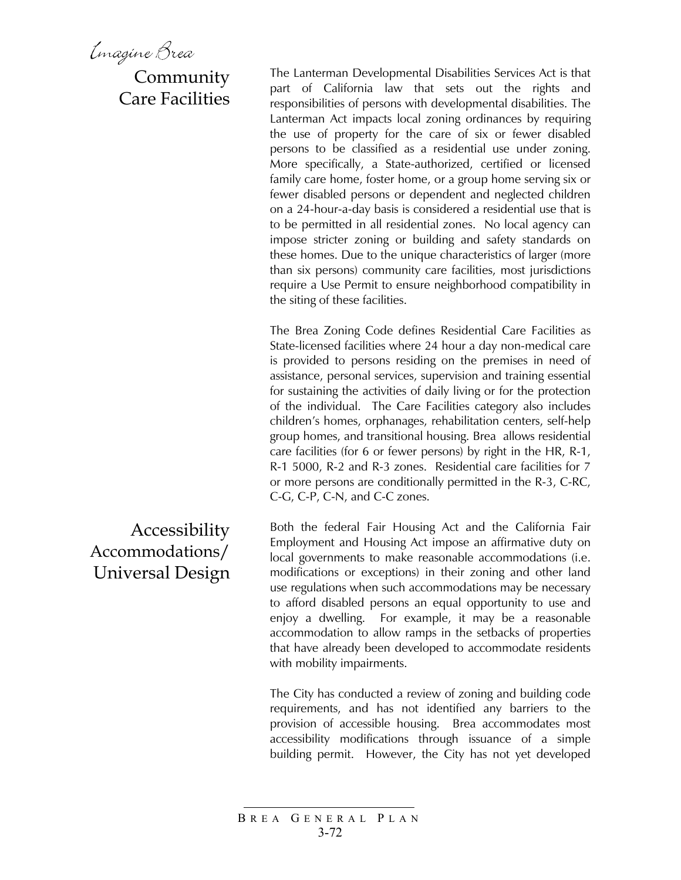Emagine Brea

# Community Care Facilities

The Lanterman Developmental Disabilities Services Act is that part of California law that sets out the rights and responsibilities of persons with developmental disabilities. The Lanterman Act impacts local zoning ordinances by requiring the use of property for the care of six or fewer disabled persons to be classified as a residential use under zoning. More specifically, a State-authorized, certified or licensed family care home, foster home, or a group home serving six or fewer disabled persons or dependent and neglected children on a 24-hour-a-day basis is considered a residential use that is to be permitted in all residential zones. No local agency can impose stricter zoning or building and safety standards on these homes. Due to the unique characteristics of larger (more than six persons) community care facilities, most jurisdictions require a Use Permit to ensure neighborhood compatibility in the siting of these facilities.

The Brea Zoning Code defines Residential Care Facilities as State-licensed facilities where 24 hour a day non-medical care is provided to persons residing on the premises in need of assistance, personal services, supervision and training essential for sustaining the activities of daily living or for the protection of the individual. The Care Facilities category also includes children's homes, orphanages, rehabilitation centers, self-help group homes, and transitional housing. Brea allows residential care facilities (for 6 or fewer persons) by right in the HR, R-1, R-1 5000, R-2 and R-3 zones. Residential care facilities for 7 or more persons are conditionally permitted in the R-3, C-RC, C-G, C-P, C-N, and C-C zones.

Both the federal Fair Housing Act and the California Fair Employment and Housing Act impose an affirmative duty on local governments to make reasonable accommodations (i.e. modifications or exceptions) in their zoning and other land use regulations when such accommodations may be necessary to afford disabled persons an equal opportunity to use and enjoy a dwelling. For example, it may be a reasonable accommodation to allow ramps in the setbacks of properties that have already been developed to accommodate residents with mobility impairments.

The City has conducted a review of zoning and building code requirements, and has not identified any barriers to the provision of accessible housing. Brea accommodates most accessibility modifications through issuance of a simple building permit. However, the City has not yet developed

Accessibility Accommodations/ Universal Design

B REA G ENERAL P LAN 3-72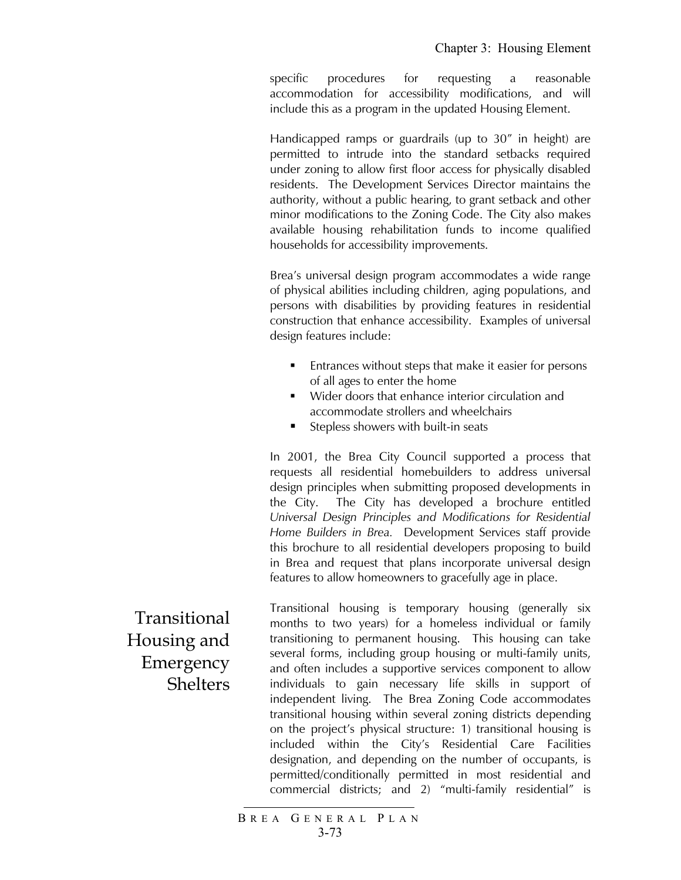specific procedures for requesting a reasonable accommodation for accessibility modifications, and will include this as a program in the updated Housing Element.

Handicapped ramps or guardrails (up to 30" in height) are permitted to intrude into the standard setbacks required under zoning to allow first floor access for physically disabled residents. The Development Services Director maintains the authority, without a public hearing, to grant setback and other minor modifications to the Zoning Code. The City also makes available housing rehabilitation funds to income qualified households for accessibility improvements.

Brea's universal design program accommodates a wide range of physical abilities including children, aging populations, and persons with disabilities by providing features in residential construction that enhance accessibility. Examples of universal design features include:

- Entrances without steps that make it easier for persons of all ages to enter the home
- Wider doors that enhance interior circulation and accommodate strollers and wheelchairs
- Stepless showers with built-in seats

In 2001, the Brea City Council supported a process that requests all residential homebuilders to address universal design principles when submitting proposed developments in the City. The City has developed a brochure entitled *Universal Design Principles and Modifications for Residential Home Builders in Brea.* Development Services staff provide this brochure to all residential developers proposing to build in Brea and request that plans incorporate universal design features to allow homeowners to gracefully age in place.

Transitional housing is temporary housing (generally six months to two years) for a homeless individual or family transitioning to permanent housing. This housing can take several forms, including group housing or multi-family units, and often includes a supportive services component to allow individuals to gain necessary life skills in support of independent living. The Brea Zoning Code accommodates transitional housing within several zoning districts depending on the project's physical structure: 1) transitional housing is included within the City's Residential Care Facilities designation, and depending on the number of occupants, is permitted/conditionally permitted in most residential and commercial districts; and 2) "multi-family residential" is

B REA G ENERAL P LAN 3-73

Transitional Housing and Emergency **Shelters**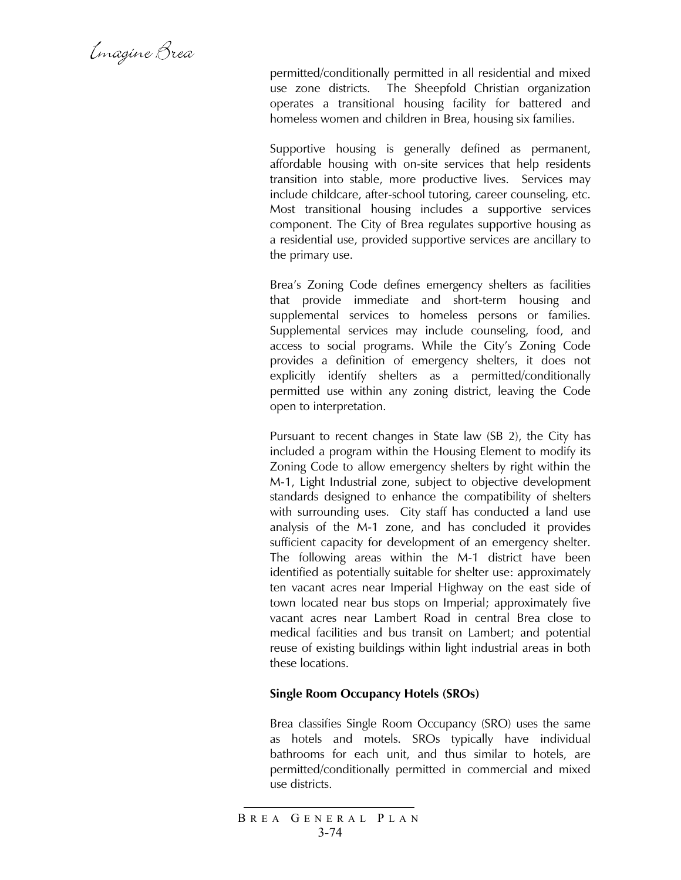Emagine Brea

permitted/conditionally permitted in all residential and mixed use zone districts. The Sheepfold Christian organization operates a transitional housing facility for battered and homeless women and children in Brea, housing six families.

Supportive housing is generally defined as permanent, affordable housing with on-site services that help residents transition into stable, more productive lives. Services may include childcare, after-school tutoring, career counseling, etc. Most transitional housing includes a supportive services component. The City of Brea regulates supportive housing as a residential use, provided supportive services are ancillary to the primary use.

Brea's Zoning Code defines emergency shelters as facilities that provide immediate and short-term housing and supplemental services to homeless persons or families. Supplemental services may include counseling, food, and access to social programs. While the City's Zoning Code provides a definition of emergency shelters, it does not explicitly identify shelters as a permitted/conditionally permitted use within any zoning district, leaving the Code open to interpretation.

Pursuant to recent changes in State law (SB 2), the City has included a program within the Housing Element to modify its Zoning Code to allow emergency shelters by right within the M-1, Light Industrial zone, subject to objective development standards designed to enhance the compatibility of shelters with surrounding uses. City staff has conducted a land use analysis of the M-1 zone, and has concluded it provides sufficient capacity for development of an emergency shelter. The following areas within the M-1 district have been identified as potentially suitable for shelter use: approximately ten vacant acres near Imperial Highway on the east side of town located near bus stops on Imperial; approximately five vacant acres near Lambert Road in central Brea close to medical facilities and bus transit on Lambert; and potential reuse of existing buildings within light industrial areas in both these locations.

#### **Single Room Occupancy Hotels (SROs)**

Brea classifies Single Room Occupancy (SRO) uses the same as hotels and motels. SROs typically have individual bathrooms for each unit, and thus similar to hotels, are permitted/conditionally permitted in commercial and mixed use districts.

B REA G ENERAL P LAN 3-74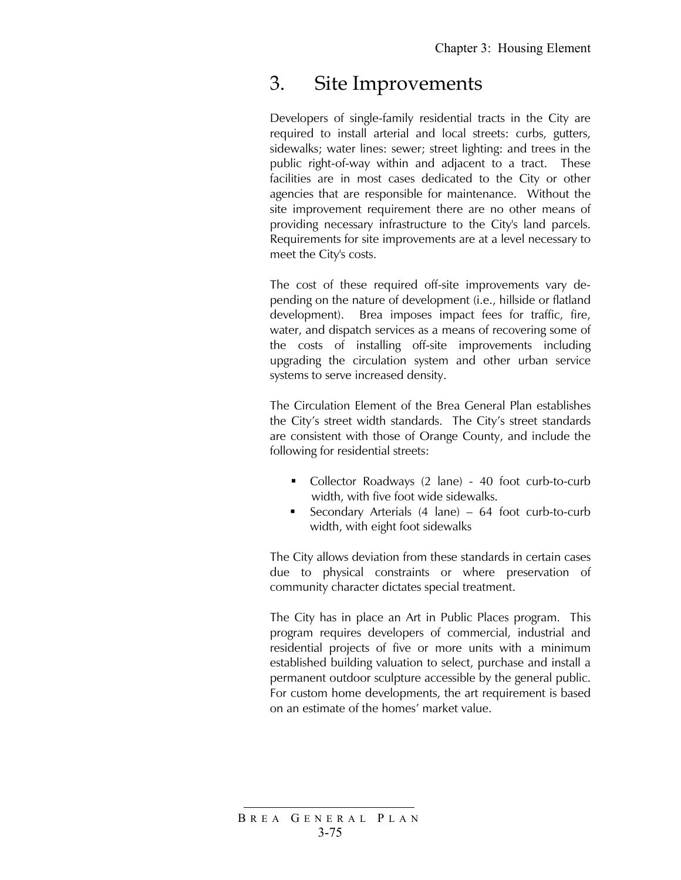### 3. Site Improvements

Developers of single-family residential tracts in the City are required to install arterial and local streets: curbs, gutters, sidewalks; water lines: sewer; street lighting: and trees in the public right-of-way within and adjacent to a tract. These facilities are in most cases dedicated to the City or other agencies that are responsible for maintenance. Without the site improvement requirement there are no other means of providing necessary infrastructure to the City's land parcels. Requirements for site improvements are at a level necessary to meet the City's costs.

The cost of these required off-site improvements vary depending on the nature of development (i.e., hillside or flatland development). Brea imposes impact fees for traffic, fire, water, and dispatch services as a means of recovering some of the costs of installing off-site improvements including upgrading the circulation system and other urban service systems to serve increased density.

The Circulation Element of the Brea General Plan establishes the City's street width standards. The City's street standards are consistent with those of Orange County, and include the following for residential streets:

- Collector Roadways (2 lane) 40 foot curb-to-curb width, with five foot wide sidewalks.
- Secondary Arterials (4 lane) 64 foot curb-to-curb width, with eight foot sidewalks

The City allows deviation from these standards in certain cases due to physical constraints or where preservation of community character dictates special treatment.

The City has in place an Art in Public Places program. This program requires developers of commercial, industrial and residential projects of five or more units with a minimum established building valuation to select, purchase and install a permanent outdoor sculpture accessible by the general public. For custom home developments, the art requirement is based on an estimate of the homes' market value.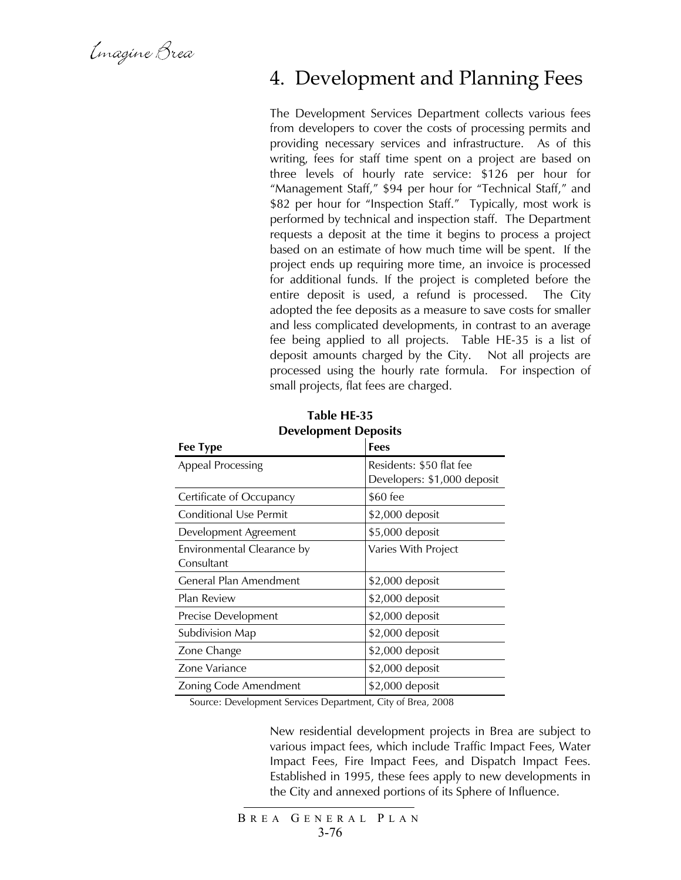Emagine Brea

### 4. Development and Planning Fees

The Development Services Department collects various fees from developers to cover the costs of processing permits and providing necessary services and infrastructure. As of this writing, fees for staff time spent on a project are based on three levels of hourly rate service: \$126 per hour for "Management Staff," \$94 per hour for "Technical Staff," and \$82 per hour for "Inspection Staff." Typically, most work is performed by technical and inspection staff. The Department requests a deposit at the time it begins to process a project based on an estimate of how much time will be spent. If the project ends up requiring more time, an invoice is processed for additional funds. If the project is completed before the entire deposit is used, a refund is processed. The City adopted the fee deposits as a measure to save costs for smaller and less complicated developments, in contrast to an average fee being applied to all projects. Table HE-35 is a list of deposit amounts charged by the City. Not all projects are processed using the hourly rate formula. For inspection of small projects, flat fees are charged.

| <b>Fee Type</b>                          | <b>Fees</b>                                             |
|------------------------------------------|---------------------------------------------------------|
| <b>Appeal Processing</b>                 | Residents: \$50 flat fee<br>Developers: \$1,000 deposit |
| Certificate of Occupancy                 | \$60 fee                                                |
| Conditional Use Permit                   | \$2,000 deposit                                         |
| Development Agreement                    | \$5,000 deposit                                         |
| Environmental Clearance by<br>Consultant | Varies With Project                                     |
| General Plan Amendment                   | \$2,000 deposit                                         |
| Plan Review                              | \$2,000 deposit                                         |
| Precise Development                      | \$2,000 deposit                                         |
| Subdivision Map                          | \$2,000 deposit                                         |
| Zone Change                              | \$2,000 deposit                                         |
| Zone Variance                            | \$2,000 deposit                                         |
| Zoning Code Amendment                    | \$2,000 deposit                                         |

#### **Table HE-35 Development Deposits**

Source: Development Services Department, City of Brea, 2008

New residential development projects in Brea are subject to various impact fees, which include Traffic Impact Fees, Water Impact Fees, Fire Impact Fees, and Dispatch Impact Fees. Established in 1995, these fees apply to new developments in the City and annexed portions of its Sphere of Influence.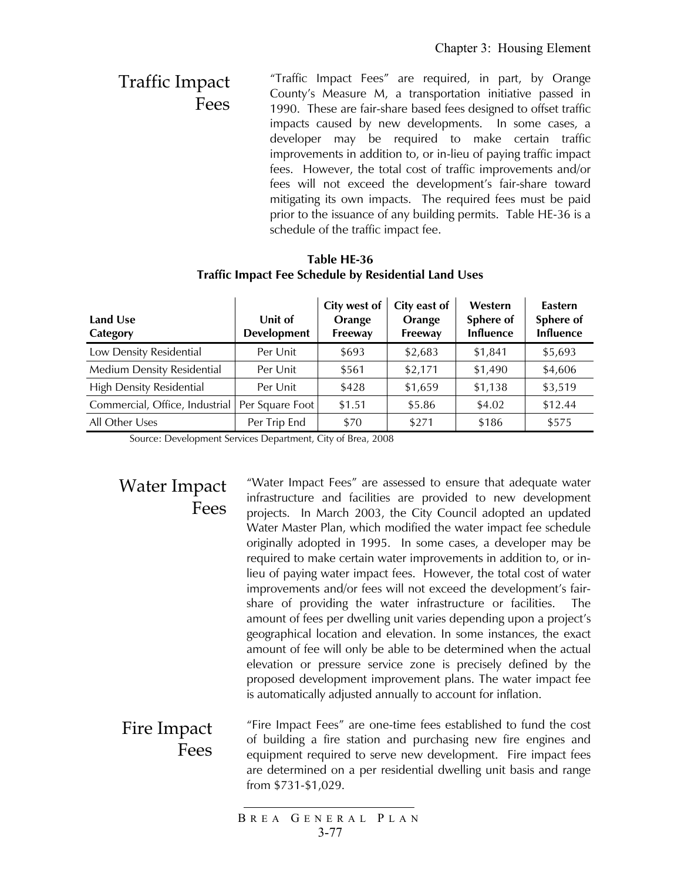Traffic Impact Fees "Traffic Impact Fees" are required, in part, by Orange County's Measure M, a transportation initiative passed in 1990. These are fair-share based fees designed to offset traffic impacts caused by new developments. In some cases, a developer may be required to make certain traffic improvements in addition to, or in-lieu of paying traffic impact fees. However, the total cost of traffic improvements and/or fees will not exceed the development's fair-share toward mitigating its own impacts. The required fees must be paid prior to the issuance of any building permits. Table HE-36 is a schedule of the traffic impact fee.

#### **Table HE-36 Traffic Impact Fee Schedule by Residential Land Uses**

| Land Use<br>Category              | Unit of<br><b>Development</b> | City west of<br>Orange<br>Freeway | City east of<br>Orange<br>Freeway | Western<br>Sphere of<br><b>Influence</b> | <b>Eastern</b><br>Sphere of<br><b>Influence</b> |
|-----------------------------------|-------------------------------|-----------------------------------|-----------------------------------|------------------------------------------|-------------------------------------------------|
| Low Density Residential           | Per Unit                      | \$693                             | \$2,683                           | \$1,841                                  | \$5,693                                         |
| <b>Medium Density Residential</b> | Per Unit                      | \$561                             | \$2,171                           | \$1,490                                  | \$4,606                                         |
| <b>High Density Residential</b>   | Per Unit                      | \$428                             | \$1,659                           | \$1,138                                  | \$3,519                                         |
| Commercial, Office, Industrial    | Per Square Foot               | \$1.51                            | \$5.86                            | \$4.02                                   | \$12.44                                         |
| All Other Uses                    | Per Trip End                  | \$70                              | \$271                             | \$186                                    | \$575                                           |

Source: Development Services Department, City of Brea, 2008

#### Water Impact Fees

"Water Impact Fees" are assessed to ensure that adequate water infrastructure and facilities are provided to new development projects. In March 2003, the City Council adopted an updated Water Master Plan, which modified the water impact fee schedule originally adopted in 1995. In some cases, a developer may be required to make certain water improvements in addition to, or inlieu of paying water impact fees. However, the total cost of water improvements and/or fees will not exceed the development's fairshare of providing the water infrastructure or facilities. The amount of fees per dwelling unit varies depending upon a project's geographical location and elevation. In some instances, the exact amount of fee will only be able to be determined when the actual elevation or pressure service zone is precisely defined by the proposed development improvement plans. The water impact fee is automatically adjusted annually to account for inflation.

Fire Impact Fees "Fire Impact Fees" are one-time fees established to fund the cost of building a fire station and purchasing new fire engines and equipment required to serve new development. Fire impact fees are determined on a per residential dwelling unit basis and range from \$731-\$1,029.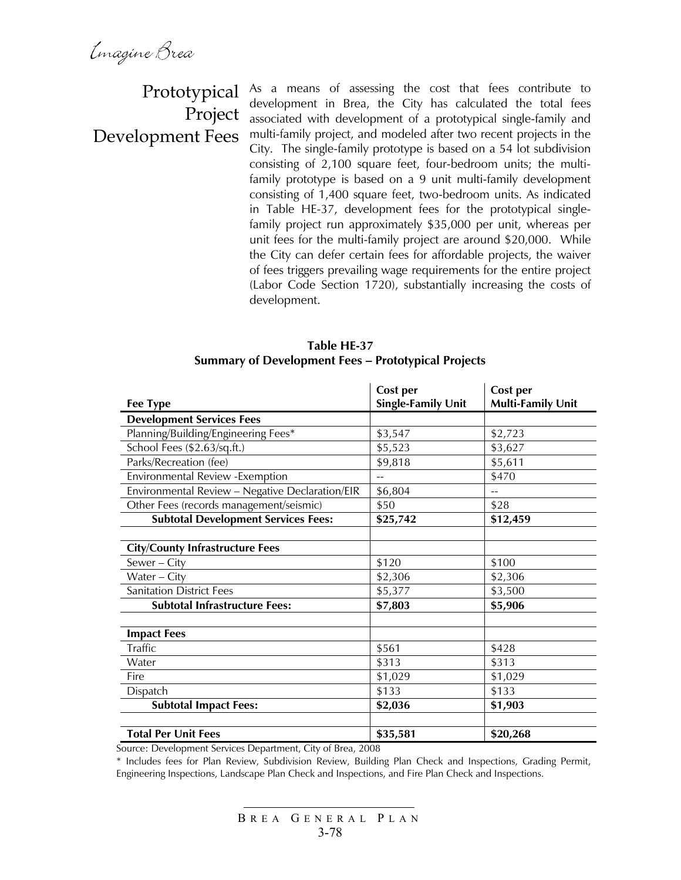# Project Development Fees

Prototypical As a means of assessing the cost that fees contribute to development in Brea, the City has calculated the total fees associated with development of a prototypical single-family and multi-family project, and modeled after two recent projects in the City. The single-family prototype is based on a 54 lot subdivision consisting of 2,100 square feet, four-bedroom units; the multifamily prototype is based on a 9 unit multi-family development consisting of 1,400 square feet, two-bedroom units. As indicated in Table HE-37, development fees for the prototypical singlefamily project run approximately \$35,000 per unit, whereas per unit fees for the multi-family project are around \$20,000. While the City can defer certain fees for affordable projects, the waiver of fees triggers prevailing wage requirements for the entire project (Labor Code Section 1720), substantially increasing the costs of development.

#### **Table HE-37 Summary of Development Fees – Prototypical Projects**

|                                                 | Cost per                  | Cost per                 |
|-------------------------------------------------|---------------------------|--------------------------|
| <b>Fee Type</b>                                 | <b>Single-Family Unit</b> | <b>Multi-Family Unit</b> |
| <b>Development Services Fees</b>                |                           |                          |
| Planning/Building/Engineering Fees*             | \$3,547                   | \$2,723                  |
| School Fees (\$2.63/sq.ft.)                     | \$5,523                   | \$3,627                  |
| Parks/Recreation (fee)                          | \$9,818                   | \$5,611                  |
| Environmental Review - Exemption                |                           | \$470                    |
| Environmental Review - Negative Declaration/EIR | \$6,804                   |                          |
| Other Fees (records management/seismic)         | \$50                      | \$28                     |
| <b>Subtotal Development Services Fees:</b>      | \$25,742                  | \$12,459                 |
|                                                 |                           |                          |
| <b>City/County Infrastructure Fees</b>          |                           |                          |
| Sewer - City                                    | \$120                     | \$100                    |
| Water – City                                    | \$2,306                   | \$2,306                  |
| <b>Sanitation District Fees</b>                 | \$5,377                   | \$3,500                  |
| <b>Subtotal Infrastructure Fees:</b>            | \$7,803                   | \$5,906                  |
|                                                 |                           |                          |
| <b>Impact Fees</b>                              |                           |                          |
| <b>Traffic</b>                                  | \$561                     | \$428                    |
| Water                                           | \$313                     | \$313                    |
| Fire                                            | \$1,029                   | \$1,029                  |
| Dispatch                                        | \$133                     | \$133                    |
| <b>Subtotal Impact Fees:</b>                    | \$2,036                   | \$1,903                  |
|                                                 |                           |                          |
| <b>Total Per Unit Fees</b>                      | \$35,581                  | \$20,268                 |

Source: Development Services Department, City of Brea, 2008

\* Includes fees for Plan Review, Subdivision Review, Building Plan Check and Inspections, Grading Permit, Engineering Inspections, Landscape Plan Check and Inspections, and Fire Plan Check and Inspections.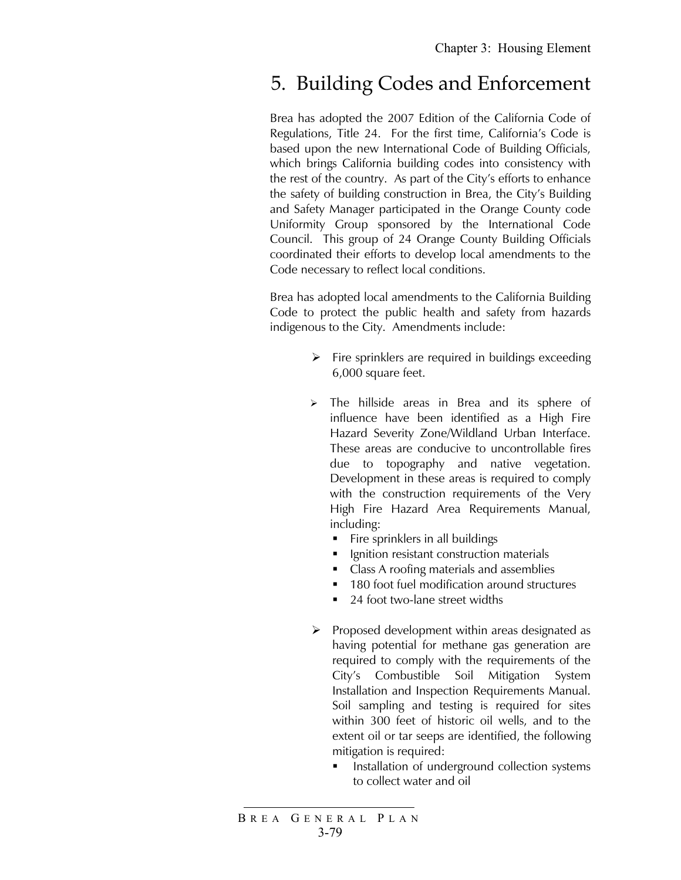## 5. Building Codes and Enforcement

Brea has adopted the 2007 Edition of the California Code of Regulations, Title 24. For the first time, California's Code is based upon the new International Code of Building Officials, which brings California building codes into consistency with the rest of the country. As part of the City's efforts to enhance the safety of building construction in Brea, the City's Building and Safety Manager participated in the Orange County code Uniformity Group sponsored by the International Code Council. This group of 24 Orange County Building Officials coordinated their efforts to develop local amendments to the Code necessary to reflect local conditions.

Brea has adopted local amendments to the California Building Code to protect the public health and safety from hazards indigenous to the City. Amendments include:

- $\triangleright$  Fire sprinklers are required in buildings exceeding 6,000 square feet.
- $\triangleright$  The hillside areas in Brea and its sphere of influence have been identified as a High Fire Hazard Severity Zone/Wildland Urban Interface. These areas are conducive to uncontrollable fires due to topography and native vegetation. Development in these areas is required to comply with the construction requirements of the Very High Fire Hazard Area Requirements Manual, including:
	- Fire sprinklers in all buildings
	- **Ignition resistant construction materials**
	- Class A roofing materials and assemblies
	- 180 foot fuel modification around structures
	- 24 foot two-lane street widths
- $\triangleright$  Proposed development within areas designated as having potential for methane gas generation are required to comply with the requirements of the City's Combustible Soil Mitigation System Installation and Inspection Requirements Manual. Soil sampling and testing is required for sites within 300 feet of historic oil wells, and to the extent oil or tar seeps are identified, the following mitigation is required:
	- Installation of underground collection systems to collect water and oil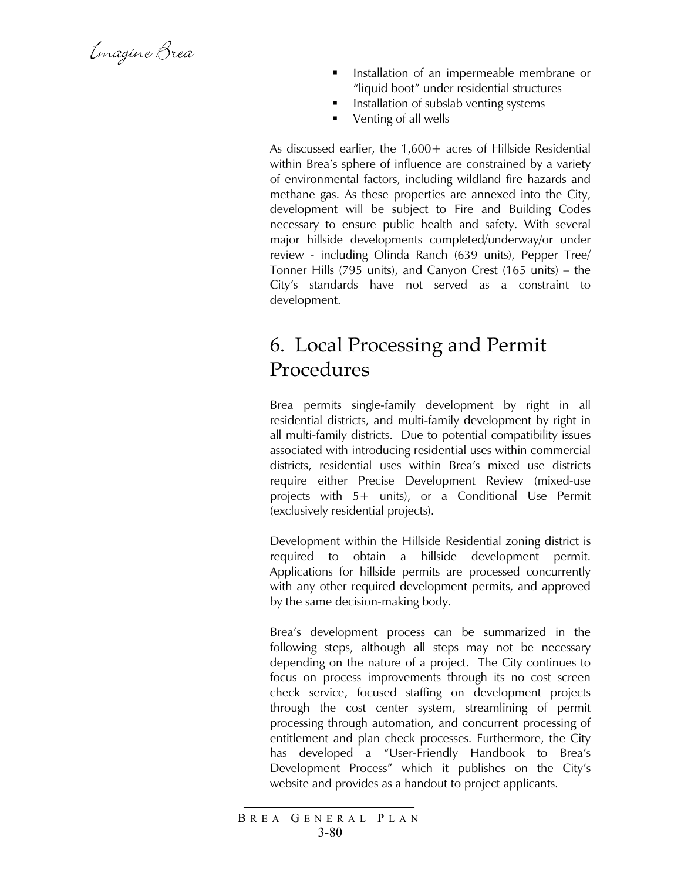Emagine Brea

- Installation of an impermeable membrane or "liquid boot" under residential structures
- Installation of subslab venting systems
- Venting of all wells

As discussed earlier, the 1,600+ acres of Hillside Residential within Brea's sphere of influence are constrained by a variety of environmental factors, including wildland fire hazards and methane gas. As these properties are annexed into the City, development will be subject to Fire and Building Codes necessary to ensure public health and safety. With several major hillside developments completed/underway/or under review - including Olinda Ranch (639 units), Pepper Tree/ Tonner Hills (795 units), and Canyon Crest (165 units) – the City's standards have not served as a constraint to development.

# 6. Local Processing and Permit Procedures

Brea permits single-family development by right in all residential districts, and multi-family development by right in all multi-family districts. Due to potential compatibility issues associated with introducing residential uses within commercial districts, residential uses within Brea's mixed use districts require either Precise Development Review (mixed-use projects with 5+ units), or a Conditional Use Permit (exclusively residential projects).

Development within the Hillside Residential zoning district is required to obtain a hillside development permit. Applications for hillside permits are processed concurrently with any other required development permits, and approved by the same decision-making body.

Brea's development process can be summarized in the following steps, although all steps may not be necessary depending on the nature of a project. The City continues to focus on process improvements through its no cost screen check service, focused staffing on development projects through the cost center system, streamlining of permit processing through automation, and concurrent processing of entitlement and plan check processes. Furthermore, the City has developed a "User-Friendly Handbook to Brea's Development Process" which it publishes on the City's website and provides as a handout to project applicants.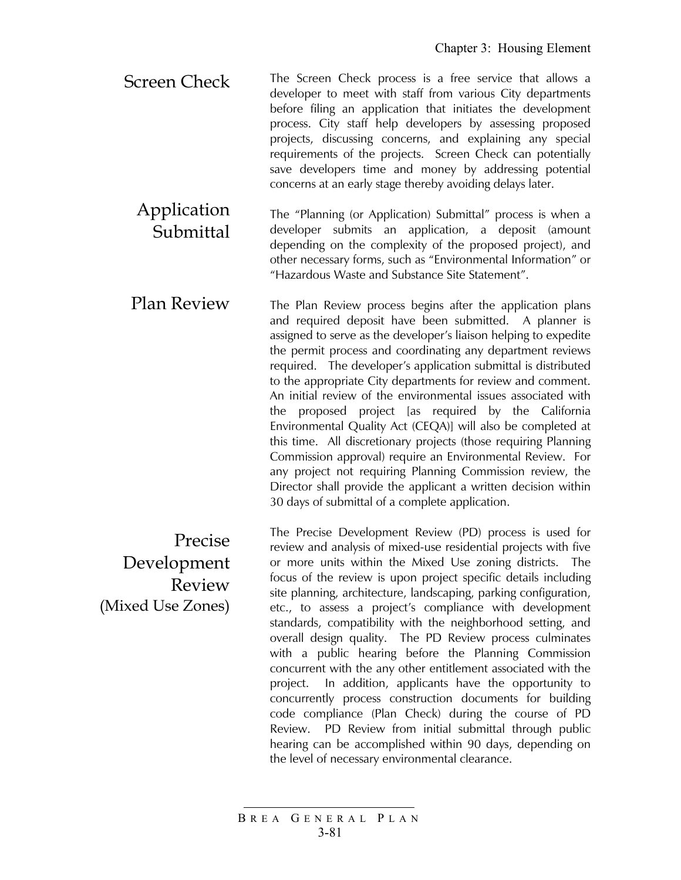- Screen Check The Screen Check process is a free service that allows a developer to meet with staff from various City departments before filing an application that initiates the development process. City staff help developers by assessing proposed projects, discussing concerns, and explaining any special requirements of the projects. Screen Check can potentially save developers time and money by addressing potential concerns at an early stage thereby avoiding delays later.
	- Application Submittal The "Planning (or Application) Submittal" process is when a developer submits an application, a deposit (amount depending on the complexity of the proposed project), and other necessary forms, such as "Environmental Information" or "Hazardous Waste and Substance Site Statement".
- Plan Review The Plan Review process begins after the application plans and required deposit have been submitted. A planner is assigned to serve as the developer's liaison helping to expedite the permit process and coordinating any department reviews required. The developer's application submittal is distributed to the appropriate City departments for review and comment. An initial review of the environmental issues associated with the proposed project [as required by the California Environmental Quality Act (CEQA)] will also be completed at this time. All discretionary projects (those requiring Planning Commission approval) require an Environmental Review. For any project not requiring Planning Commission review, the Director shall provide the applicant a written decision within 30 days of submittal of a complete application.

The Precise Development Review (PD) process is used for review and analysis of mixed-use residential projects with five or more units within the Mixed Use zoning districts. The focus of the review is upon project specific details including site planning, architecture, landscaping, parking configuration, etc., to assess a project's compliance with development standards, compatibility with the neighborhood setting, and overall design quality. The PD Review process culminates with a public hearing before the Planning Commission concurrent with the any other entitlement associated with the project. In addition, applicants have the opportunity to concurrently process construction documents for building code compliance (Plan Check) during the course of PD Review. PD Review from initial submittal through public hearing can be accomplished within 90 days, depending on the level of necessary environmental clearance.

Precise Development Review (Mixed Use Zones)

> B REA G ENERAL P LAN 3-81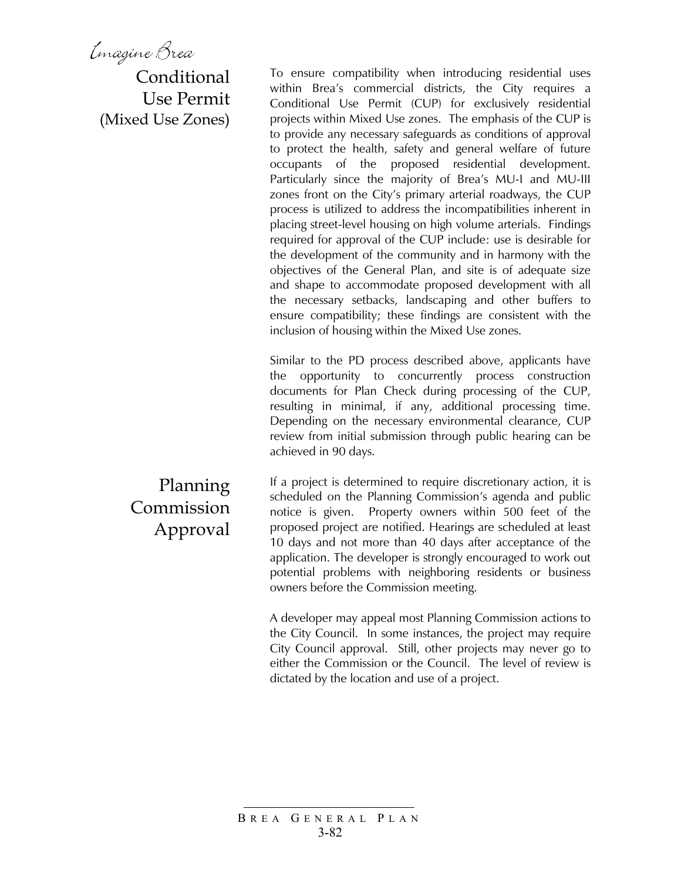Emagine Brea

Conditional Use Permit (Mixed Use Zones)

To ensure compatibility when introducing residential uses within Brea's commercial districts, the City requires a Conditional Use Permit (CUP) for exclusively residential projects within Mixed Use zones. The emphasis of the CUP is to provide any necessary safeguards as conditions of approval to protect the health, safety and general welfare of future occupants of the proposed residential development. Particularly since the majority of Brea's MU-I and MU-III zones front on the City's primary arterial roadways, the CUP process is utilized to address the incompatibilities inherent in placing street-level housing on high volume arterials. Findings required for approval of the CUP include: use is desirable for the development of the community and in harmony with the objectives of the General Plan, and site is of adequate size and shape to accommodate proposed development with all the necessary setbacks, landscaping and other buffers to ensure compatibility; these findings are consistent with the inclusion of housing within the Mixed Use zones.

Similar to the PD process described above, applicants have the opportunity to concurrently process construction documents for Plan Check during processing of the CUP, resulting in minimal, if any, additional processing time. Depending on the necessary environmental clearance, CUP review from initial submission through public hearing can be achieved in 90 days.

Planning Commission Approval If a project is determined to require discretionary action, it is scheduled on the Planning Commission's agenda and public notice is given. Property owners within 500 feet of the proposed project are notified. Hearings are scheduled at least 10 days and not more than 40 days after acceptance of the application. The developer is strongly encouraged to work out potential problems with neighboring residents or business owners before the Commission meeting.

A developer may appeal most Planning Commission actions to the City Council. In some instances, the project may require City Council approval. Still, other projects may never go to either the Commission or the Council. The level of review is dictated by the location and use of a project.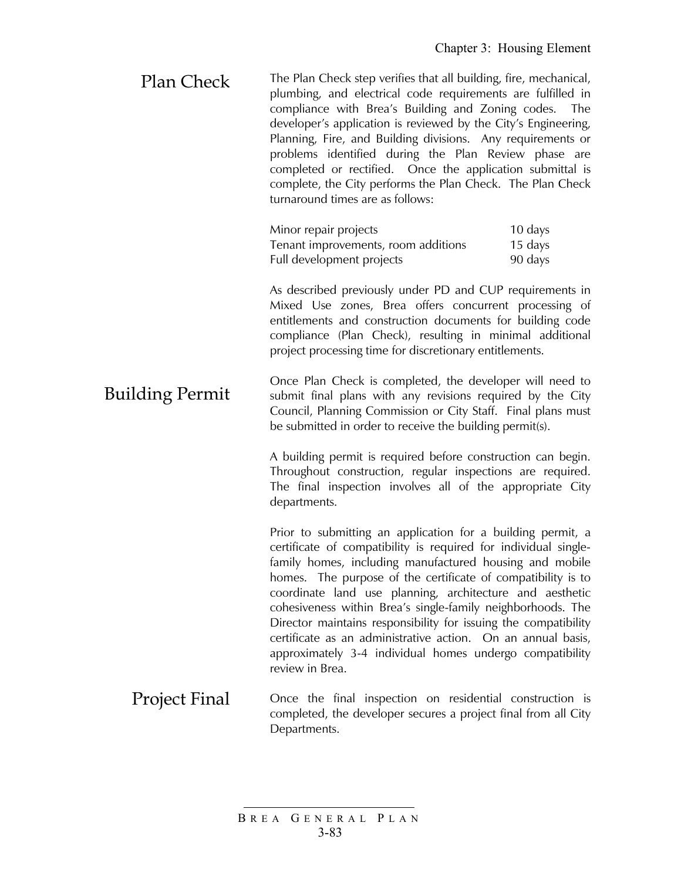| Plan Check | The Plan Check step verifies that all building, fire, mechanical,<br>plumbing, and electrical code requirements are fulfilled in<br>compliance with Brea's Building and Zoning codes. The<br>developer's application is reviewed by the City's Engineering,<br>Planning, Fire, and Building divisions. Any requirements or |
|------------|----------------------------------------------------------------------------------------------------------------------------------------------------------------------------------------------------------------------------------------------------------------------------------------------------------------------------|
|            | problems identified during the Plan Review phase are<br>completed or rectified. Once the application submittal is<br>complete, the City performs the Plan Check. The Plan Check<br>turnaround times are as follows:                                                                                                        |

| Minor repair projects               | 10 days |
|-------------------------------------|---------|
| Tenant improvements, room additions | 15 days |
| Full development projects           | 90 days |

As described previously under PD and CUP requirements in Mixed Use zones, Brea offers concurrent processing of entitlements and construction documents for building code compliance (Plan Check), resulting in minimal additional project processing time for discretionary entitlements.

Building Permit Once Plan Check is completed, the developer will need to submit final plans with any revisions required by the City Council, Planning Commission or City Staff. Final plans must be submitted in order to receive the building permit(s).

> A building permit is required before construction can begin. Throughout construction, regular inspections are required. The final inspection involves all of the appropriate City departments.

> Prior to submitting an application for a building permit, a certificate of compatibility is required for individual singlefamily homes, including manufactured housing and mobile homes. The purpose of the certificate of compatibility is to coordinate land use planning, architecture and aesthetic cohesiveness within Brea's single-family neighborhoods. The Director maintains responsibility for issuing the compatibility certificate as an administrative action. On an annual basis, approximately 3-4 individual homes undergo compatibility review in Brea.

Project Final Once the final inspection on residential construction is completed, the developer secures a project final from all City Departments.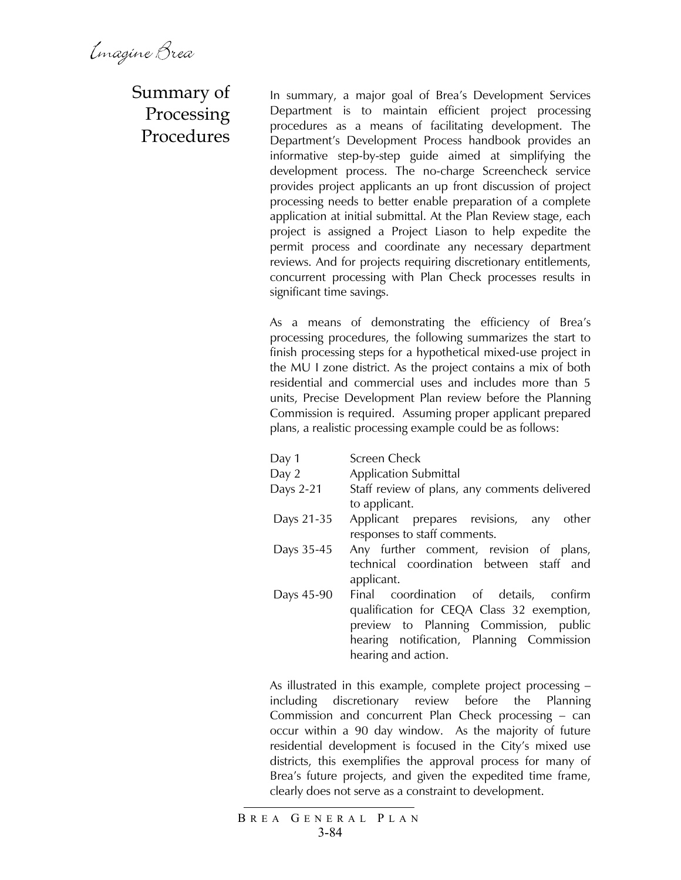### Summary of Processing Procedures

In summary, a major goal of Brea's Development Services Department is to maintain efficient project processing procedures as a means of facilitating development. The Department's Development Process handbook provides an informative step-by-step guide aimed at simplifying the development process. The no-charge Screencheck service provides project applicants an up front discussion of project processing needs to better enable preparation of a complete application at initial submittal. At the Plan Review stage, each project is assigned a Project Liason to help expedite the permit process and coordinate any necessary department reviews. And for projects requiring discretionary entitlements, concurrent processing with Plan Check processes results in significant time savings.

As a means of demonstrating the efficiency of Brea's processing procedures, the following summarizes the start to finish processing steps for a hypothetical mixed-use project in the MU I zone district. As the project contains a mix of both residential and commercial uses and includes more than 5 units, Precise Development Plan review before the Planning Commission is required. Assuming proper applicant prepared plans, a realistic processing example could be as follows:

- Day 1 Screen Check
- Day 2 **Application Submittal**
- Days 2-21 Staff review of plans, any comments delivered to applicant.
- Days 21-35 Applicant prepares revisions, any other responses to staff comments.
- Days 35-45 Any further comment, revision of plans, technical coordination between staff and applicant.
- Days 45-90 Final coordination of details, confirm qualification for CEQA Class 32 exemption, preview to Planning Commission, public hearing notification, Planning Commission hearing and action.

As illustrated in this example, complete project processing – including discretionary review before the Planning Commission and concurrent Plan Check processing – can occur within a 90 day window. As the majority of future residential development is focused in the City's mixed use districts, this exemplifies the approval process for many of Brea's future projects, and given the expedited time frame, clearly does not serve as a constraint to development.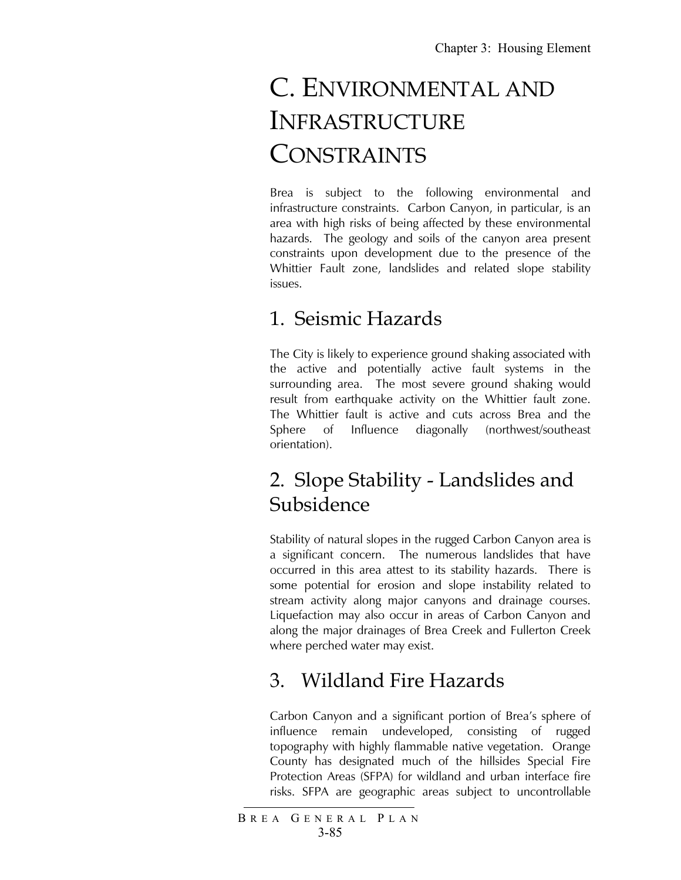# C. ENVIRONMENTAL AND INFRASTRUCTURE **CONSTRAINTS**

Brea is subject to the following environmental and infrastructure constraints. Carbon Canyon, in particular, is an area with high risks of being affected by these environmental hazards. The geology and soils of the canyon area present constraints upon development due to the presence of the Whittier Fault zone, landslides and related slope stability issues.

# 1. Seismic Hazards

The City is likely to experience ground shaking associated with the active and potentially active fault systems in the surrounding area. The most severe ground shaking would result from earthquake activity on the Whittier fault zone. The Whittier fault is active and cuts across Brea and the Sphere of Influence diagonally (northwest/southeast orientation).

# 2. Slope Stability - Landslides and Subsidence

Stability of natural slopes in the rugged Carbon Canyon area is a significant concern. The numerous landslides that have occurred in this area attest to its stability hazards. There is some potential for erosion and slope instability related to stream activity along major canyons and drainage courses. Liquefaction may also occur in areas of Carbon Canyon and along the major drainages of Brea Creek and Fullerton Creek where perched water may exist.

# 3. Wildland Fire Hazards

Carbon Canyon and a significant portion of Brea's sphere of influence remain undeveloped, consisting of rugged topography with highly flammable native vegetation. Orange County has designated much of the hillsides Special Fire Protection Areas (SFPA) for wildland and urban interface fire risks. SFPA are geographic areas subject to uncontrollable